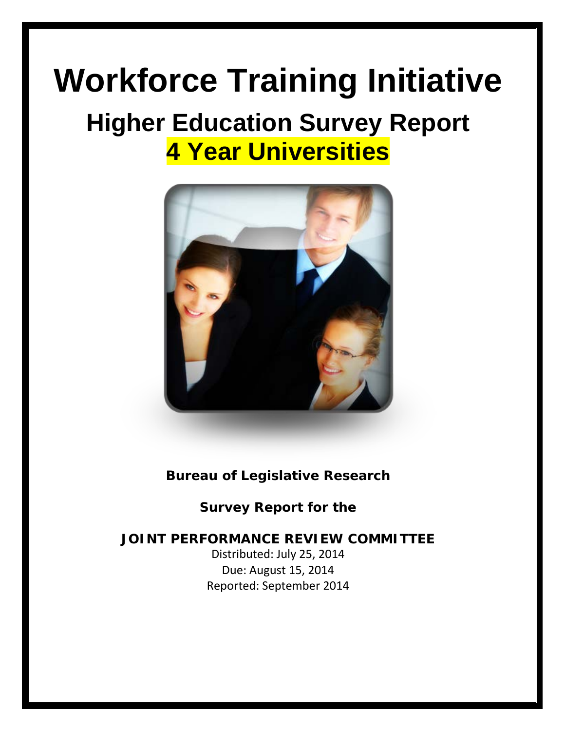# **Workforce Training Initiative**

# **Higher Education Survey Report 4 Year Universities**



### **Bureau of Legislative Research**

**Survey Report for the** 

### **JOINT PERFORMANCE REVIEW COMMITTEE**

Distributed: July 25, 2014 Due: August 15, 2014 Reported: September 2014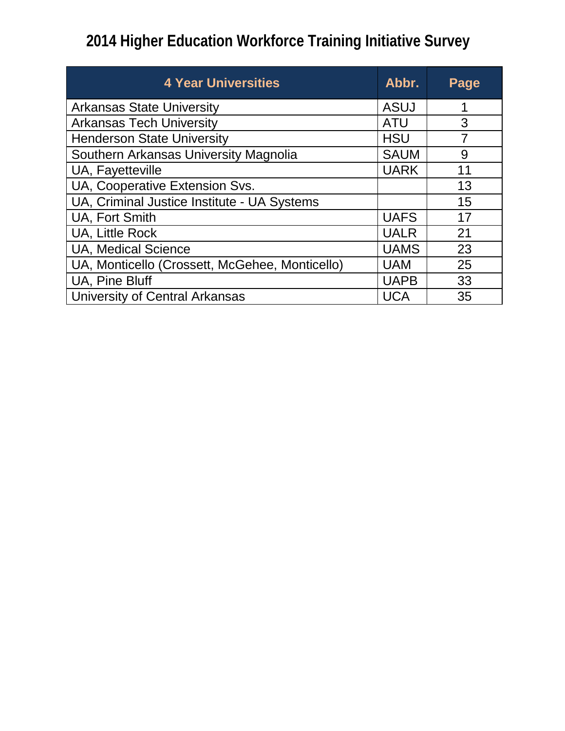| <b>4 Year Universities</b>                     | Abbr.       | Page |
|------------------------------------------------|-------------|------|
| <b>Arkansas State University</b>               | ASUJ        | 1    |
| <b>Arkansas Tech University</b>                | <b>ATU</b>  | 3    |
| <b>Henderson State University</b>              | <b>HSU</b>  | 7    |
| Southern Arkansas University Magnolia          | <b>SAUM</b> | 9    |
| UA, Fayetteville                               | <b>UARK</b> | 11   |
| UA, Cooperative Extension Svs.                 |             | 13   |
| UA, Criminal Justice Institute - UA Systems    |             | 15   |
| <b>UA, Fort Smith</b>                          | <b>UAFS</b> | 17   |
| <b>UA, Little Rock</b>                         | <b>UALR</b> | 21   |
| <b>UA, Medical Science</b>                     | <b>UAMS</b> | 23   |
| UA, Monticello (Crossett, McGehee, Monticello) | <b>UAM</b>  | 25   |
| UA, Pine Bluff                                 | <b>UAPB</b> | 33   |
| University of Central Arkansas                 | <b>UCA</b>  | 35   |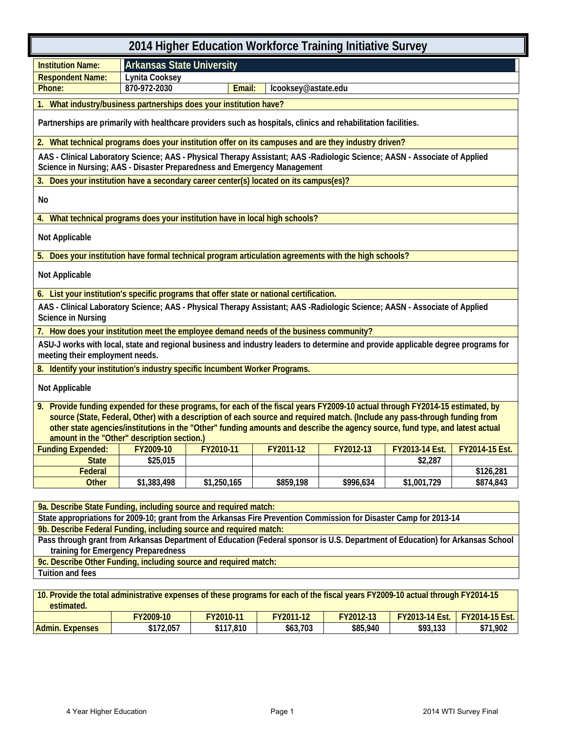| 2014 Higher Education Workforce Training Initiative Survey                                                                                                                                            |                                  |             |           |           |                            |                |  |
|-------------------------------------------------------------------------------------------------------------------------------------------------------------------------------------------------------|----------------------------------|-------------|-----------|-----------|----------------------------|----------------|--|
| <b>Institution Name:</b>                                                                                                                                                                              | <b>Arkansas State University</b> |             |           |           |                            |                |  |
| <b>Respondent Name:</b>                                                                                                                                                                               | Lynita Cooksey                   |             |           |           |                            |                |  |
| 870-972-2030<br>lcooksey@astate.edu<br>Phone:<br>Email:                                                                                                                                               |                                  |             |           |           |                            |                |  |
| What industry/business partnerships does your institution have?                                                                                                                                       |                                  |             |           |           |                            |                |  |
| Partnerships are primarily with healthcare providers such as hospitals, clinics and rehabilitation facilities.                                                                                        |                                  |             |           |           |                            |                |  |
| 2. What technical programs does your institution offer on its campuses and are they industry driven?                                                                                                  |                                  |             |           |           |                            |                |  |
| AAS - Clinical Laboratory Science; AAS - Physical Therapy Assistant; AAS -Radiologic Science; AASN - Associate of Applied<br>Science in Nursing; AAS - Disaster Preparedness and Emergency Management |                                  |             |           |           |                            |                |  |
| Does your institution have a secondary career center(s) located on its campus(es)?<br>3.                                                                                                              |                                  |             |           |           |                            |                |  |
| No                                                                                                                                                                                                    |                                  |             |           |           |                            |                |  |
| 4. What technical programs does your institution have in local high schools?                                                                                                                          |                                  |             |           |           |                            |                |  |
| Not Applicable                                                                                                                                                                                        |                                  |             |           |           |                            |                |  |
| Does your institution have formal technical program articulation agreements with the high schools?<br>5.                                                                                              |                                  |             |           |           |                            |                |  |
| Not Applicable                                                                                                                                                                                        |                                  |             |           |           |                            |                |  |
| 6. List your institution's specific programs that offer state or national certification.                                                                                                              |                                  |             |           |           |                            |                |  |
| AAS - Clinical Laboratory Science; AAS - Physical Therapy Assistant; AAS -Radiologic Science; AASN - Associate of Applied<br><b>Science in Nursing</b>                                                |                                  |             |           |           |                            |                |  |
| 7. How does your institution meet the employee demand needs of the business community?                                                                                                                |                                  |             |           |           |                            |                |  |
| ASU-J works with local, state and regional business and industry leaders to determine and provide applicable degree programs for<br>meeting their employment needs.                                   |                                  |             |           |           |                            |                |  |
| 8. Identify your institution's industry specific Incumbent Worker Programs.                                                                                                                           |                                  |             |           |           |                            |                |  |
| Not Applicable                                                                                                                                                                                        |                                  |             |           |           |                            |                |  |
| 9. Provide funding expended for these programs, for each of the fiscal years FY2009-10 actual through FY2014-15 estimated, by                                                                         |                                  |             |           |           |                            |                |  |
| source (State, Federal, Other) with a description of each source and required match. (Include any pass-through funding from                                                                           |                                  |             |           |           |                            |                |  |
| other state agencies/institutions in the "Other" funding amounts and describe the agency source, fund type, and latest actual                                                                         |                                  |             |           |           |                            |                |  |
| amount in the "Other" description section.)<br><b>Funding Expended:</b>                                                                                                                               | FY2009-10                        | FY2010-11   | FY2011-12 |           | FY2012-13   FY2013-14 Est. | FY2014-15 Est. |  |
| <b>State</b>                                                                                                                                                                                          | \$25,015                         |             |           |           | \$2,287                    |                |  |
| Federal                                                                                                                                                                                               |                                  |             |           |           |                            | \$126,281      |  |
| <b>Other</b>                                                                                                                                                                                          | \$1,383,498                      | \$1,250,165 | \$859,198 | \$996,634 | \$1,001,729                | \$874,843      |  |
|                                                                                                                                                                                                       |                                  |             |           |           |                            |                |  |
| 9a. Describe State Funding, including source and required match:                                                                                                                                      |                                  |             |           |           |                            |                |  |
| State appropriations for 2009-10; grant from the Arkansas Fire Prevention Commission for Disaster Camp for 2013-14                                                                                    |                                  |             |           |           |                            |                |  |
| 9b. Describe Federal Funding, including source and required match:                                                                                                                                    |                                  |             |           |           |                            |                |  |
| Pass through grant from Arkansas Department of Education (Federal sponsor is U.S. Department of Education) for Arkansas School<br>training for Emergency Preparedness                                 |                                  |             |           |           |                            |                |  |
| 9c. Describe Other Funding, including source and required match:                                                                                                                                      |                                  |             |           |           |                            |                |  |
| Tuition and fees                                                                                                                                                                                      |                                  |             |           |           |                            |                |  |

**10. Provide the total administrative expenses of these programs for each of the fiscal years FY2009-10 actual through FY2014-15 estimated. FY2009-10 FY2010-11 FY2011-12 FY2012-13 FY2013-14 Est. FY2014-15 Est. Admin. Expenses \$172,057 \$117,810 \$63,703 \$85,940 \$93,133 \$71,902**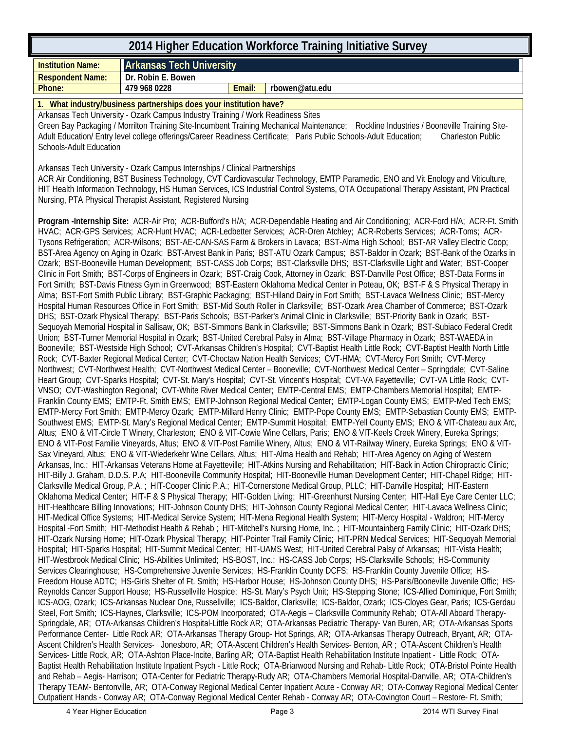| <b>Arkansas Tech University</b><br><b>Institution Name:</b><br><b>Respondent Name:</b><br>Dr. Robin E. Bowen<br>479 968 0228<br>Phone:<br>Email:<br>rbowen@atu.edu<br>1. What industry/business partnerships does your institution have?<br>Arkansas Tech University - Ozark Campus Industry Training / Work Readiness Sites<br>Green Bay Packaging / Morrilton Training Site-Incumbent Training Mechanical Maintenance; Rockline Industries / Booneville Training Site-<br>Adult Education/ Entry level college offerings/Career Readiness Certificate; Paris Public Schools-Adult Education;<br><b>Charleston Public</b><br><b>Schools-Adult Education</b><br>Arkansas Tech University - Ozark Campus Internships / Clinical Partnerships<br>ACR Air Conditioning, BST Business Technology, CVT Cardiovascular Technology, EMTP Paramedic, ENO and Vit Enology and Viticulture,<br>HIT Health Information Technology, HS Human Services, ICS Industrial Control Systems, OTA Occupational Therapy Assistant, PN Practical<br>Nursing, PTA Physical Therapist Assistant, Registered Nursing<br>Program -Internship Site: ACR-Air Pro; ACR-Bufford's H/A; ACR-Dependable Heating and Air Conditioning; ACR-Ford H/A; ACR-Ft. Smith<br>HVAC; ACR-GPS Services; ACR-Hunt HVAC; ACR-Ledbetter Services; ACR-Oren Atchley; ACR-Roberts Services; ACR-Toms; ACR-<br>Tysons Refrigeration; ACR-Wilsons; BST-AE-CAN-SAS Farm & Brokers in Lavaca; BST-Alma High School; BST-AR Valley Electric Coop;<br>BST-Area Agency on Aging in Ozark; BST-Arvest Bank in Paris; BST-ATU Ozark Campus; BST-Baldor in Ozark; BST-Bank of the Ozarks in                                                                                                                                                                                                                                                                                                                                                                                                                                                                                                                                                                                                                                                                                                                                                                                                                                                                                                                                                                                                                                                                                                                                                                                                                                                                                                                                                                                                                                                                                                                                                                                                                                                                                                                                                                                                                                                                                                                                                                                                                                                                                                                                                                                                                                                                                                                                                                                                                                                                                                                                                                                                                         |
|------------------------------------------------------------------------------------------------------------------------------------------------------------------------------------------------------------------------------------------------------------------------------------------------------------------------------------------------------------------------------------------------------------------------------------------------------------------------------------------------------------------------------------------------------------------------------------------------------------------------------------------------------------------------------------------------------------------------------------------------------------------------------------------------------------------------------------------------------------------------------------------------------------------------------------------------------------------------------------------------------------------------------------------------------------------------------------------------------------------------------------------------------------------------------------------------------------------------------------------------------------------------------------------------------------------------------------------------------------------------------------------------------------------------------------------------------------------------------------------------------------------------------------------------------------------------------------------------------------------------------------------------------------------------------------------------------------------------------------------------------------------------------------------------------------------------------------------------------------------------------------------------------------------------------------------------------------------------------------------------------------------------------------------------------------------------------------------------------------------------------------------------------------------------------------------------------------------------------------------------------------------------------------------------------------------------------------------------------------------------------------------------------------------------------------------------------------------------------------------------------------------------------------------------------------------------------------------------------------------------------------------------------------------------------------------------------------------------------------------------------------------------------------------------------------------------------------------------------------------------------------------------------------------------------------------------------------------------------------------------------------------------------------------------------------------------------------------------------------------------------------------------------------------------------------------------------------------------------------------------------------------------------------------------------------------------------------------------------------------------------------------------------------------------------------------------------------------------------------------------------------------------------------------------------------------------------------------------------------------------------------------------------------------------------------------------------------------------------------------------------------------------------------------------------------------------------------------------------------------------------------------------------------------------------------------------------------------------------------------------------------------------------------------------------------------------------------------------------------------------------------------------------------------------------------------------------------------------------------------------------------|
|                                                                                                                                                                                                                                                                                                                                                                                                                                                                                                                                                                                                                                                                                                                                                                                                                                                                                                                                                                                                                                                                                                                                                                                                                                                                                                                                                                                                                                                                                                                                                                                                                                                                                                                                                                                                                                                                                                                                                                                                                                                                                                                                                                                                                                                                                                                                                                                                                                                                                                                                                                                                                                                                                                                                                                                                                                                                                                                                                                                                                                                                                                                                                                                                                                                                                                                                                                                                                                                                                                                                                                                                                                                                                                                                                                                                                                                                                                                                                                                                                                                                                                                                                                                                                                                            |
|                                                                                                                                                                                                                                                                                                                                                                                                                                                                                                                                                                                                                                                                                                                                                                                                                                                                                                                                                                                                                                                                                                                                                                                                                                                                                                                                                                                                                                                                                                                                                                                                                                                                                                                                                                                                                                                                                                                                                                                                                                                                                                                                                                                                                                                                                                                                                                                                                                                                                                                                                                                                                                                                                                                                                                                                                                                                                                                                                                                                                                                                                                                                                                                                                                                                                                                                                                                                                                                                                                                                                                                                                                                                                                                                                                                                                                                                                                                                                                                                                                                                                                                                                                                                                                                            |
|                                                                                                                                                                                                                                                                                                                                                                                                                                                                                                                                                                                                                                                                                                                                                                                                                                                                                                                                                                                                                                                                                                                                                                                                                                                                                                                                                                                                                                                                                                                                                                                                                                                                                                                                                                                                                                                                                                                                                                                                                                                                                                                                                                                                                                                                                                                                                                                                                                                                                                                                                                                                                                                                                                                                                                                                                                                                                                                                                                                                                                                                                                                                                                                                                                                                                                                                                                                                                                                                                                                                                                                                                                                                                                                                                                                                                                                                                                                                                                                                                                                                                                                                                                                                                                                            |
|                                                                                                                                                                                                                                                                                                                                                                                                                                                                                                                                                                                                                                                                                                                                                                                                                                                                                                                                                                                                                                                                                                                                                                                                                                                                                                                                                                                                                                                                                                                                                                                                                                                                                                                                                                                                                                                                                                                                                                                                                                                                                                                                                                                                                                                                                                                                                                                                                                                                                                                                                                                                                                                                                                                                                                                                                                                                                                                                                                                                                                                                                                                                                                                                                                                                                                                                                                                                                                                                                                                                                                                                                                                                                                                                                                                                                                                                                                                                                                                                                                                                                                                                                                                                                                                            |
|                                                                                                                                                                                                                                                                                                                                                                                                                                                                                                                                                                                                                                                                                                                                                                                                                                                                                                                                                                                                                                                                                                                                                                                                                                                                                                                                                                                                                                                                                                                                                                                                                                                                                                                                                                                                                                                                                                                                                                                                                                                                                                                                                                                                                                                                                                                                                                                                                                                                                                                                                                                                                                                                                                                                                                                                                                                                                                                                                                                                                                                                                                                                                                                                                                                                                                                                                                                                                                                                                                                                                                                                                                                                                                                                                                                                                                                                                                                                                                                                                                                                                                                                                                                                                                                            |
|                                                                                                                                                                                                                                                                                                                                                                                                                                                                                                                                                                                                                                                                                                                                                                                                                                                                                                                                                                                                                                                                                                                                                                                                                                                                                                                                                                                                                                                                                                                                                                                                                                                                                                                                                                                                                                                                                                                                                                                                                                                                                                                                                                                                                                                                                                                                                                                                                                                                                                                                                                                                                                                                                                                                                                                                                                                                                                                                                                                                                                                                                                                                                                                                                                                                                                                                                                                                                                                                                                                                                                                                                                                                                                                                                                                                                                                                                                                                                                                                                                                                                                                                                                                                                                                            |
| Ozark; BST-Booneville Human Development; BST-CASS Job Corps; BST-Clarksville DHS; BST-Clarksville Light and Water; BST-Cooper<br>Clinic in Fort Smith; BST-Corps of Engineers in Ozark; BST-Craig Cook, Attorney in Ozark; BST-Danville Post Office; BST-Data Forms in<br>Fort Smith; BST-Davis Fitness Gym in Greenwood; BST-Eastern Oklahoma Medical Center in Poteau, OK; BST-F & S Physical Therapy in<br>Alma; BST-Fort Smith Public Library; BST-Graphic Packaging; BST-Hiland Dairy in Fort Smith; BST-Lavaca Wellness Clinic; BST-Mercy<br>Hospital Human Resources Office in Fort Smith; BST-Mid South Roller in Clarksville; BST-Ozark Area Chamber of Commerce; BST-Ozark<br>DHS; BST-Ozark Physical Therapy; BST-Paris Schools; BST-Parker's Animal Clinic in Clarksville; BST-Priority Bank in Ozark; BST-<br>Sequoyah Memorial Hospital in Sallisaw, OK; BST-Simmons Bank in Clarksville; BST-Simmons Bank in Ozark; BST-Subiaco Federal Credit<br>Union; BST-Turner Memorial Hospital in Ozark; BST-United Cerebral Palsy in Alma; BST-Village Pharmacy in Ozark; BST-WAEDA in<br>Booneville; BST-Westside High School; CVT-Arkansas Children's Hospital; CVT-Baptist Health Little Rock; CVT-Baptist Health North Little<br>Rock; CVT-Baxter Regional Medical Center; CVT-Choctaw Nation Health Services; CVT-HMA; CVT-Mercy Fort Smith; CVT-Mercy<br>Northwest; CVT-Northwest Health; CVT-Northwest Medical Center - Booneville; CVT-Northwest Medical Center - Springdale; CVT-Saline<br>Heart Group; CVT-Sparks Hospital; CVT-St. Mary's Hospital; CVT-St. Vincent's Hospital; CVT-VA Fayetteville; CVT-VA Little Rock; CVT-<br>VNSO; CVT-Washington Regional; CVT-White River Medical Center; EMTP-Central EMS; EMTP-Chambers Memorial Hospital; EMTP-<br>Franklin County EMS; EMTP-Ft. Smith EMS; EMTP-Johnson Regional Medical Center; EMTP-Logan County EMS; EMTP-Med Tech EMS;<br>EMTP-Mercy Fort Smith; EMTP-Mercy Ozark; EMTP-Millard Henry Clinic; EMTP-Pope County EMS; EMTP-Sebastian County EMS; EMTP-<br>Southwest EMS; EMTP-St. Mary's Regional Medical Center; EMTP-Summit Hospital; EMTP-Yell County EMS; ENO & VIT-Chateau aux Arc,<br>Altus; ENO & VIT-Circle T Winery, Charleston; ENO & VIT-Cowie Wine Cellars, Paris; ENO & VIT-Keels Creek Winery, Eureka Springs;<br>ENO & VIT-Post Familie Vineyards, Altus; ENO & VIT-Post Familie Winery, Altus; ENO & VIT-Railway Winery, Eureka Springs; ENO & VIT-<br>Sax Vineyard, Altus; ENO & VIT-Wiederkehr Wine Cellars, Altus; HIT-Alma Health and Rehab; HIT-Area Agency on Aging of Western<br>Arkansas, Inc.; HIT-Arkansas Veterans Home at Fayetteville; HIT-Atkins Nursing and Rehabilitation; HIT-Back in Action Chiropractic Clinic;<br>HIT-Billy J. Graham, D.D.S. P.A; HIT-Booneville Community Hospital; HIT-Booneville Human Development Center; HIT-Chapel Ridge; HIT-<br>Clarksville Medical Group, P.A.; HIT-Cooper Clinic P.A.; HIT-Cornerstone Medical Group, PLLC; HIT-Danville Hospital; HIT-Eastern<br>Oklahoma Medical Center; HIT-F & S Physical Therapy; HIT-Golden Living; HIT-Greenhurst Nursing Center; HIT-Hall Eye Care Center LLC;<br>HIT-Healthcare Billing Innovations; HIT-Johnson County DHS; HIT-Johnson County Regional Medical Center; HIT-Lavaca Wellness Clinic;<br>HIT-Medical Office Systems; HIT-Medical Service System; HIT-Mena Regional Health System; HIT-Mercy Hospital - Waldron; HIT-Mercy<br>Hospital -Fort Smith; HIT-Methodist Health & Rehab; HIT-Mitchell's Nursing Home, Inc.; HIT-Mountainberg Family Clinic; HIT-Ozark DHS;<br>HIT-Ozark Nursing Home; HIT-Ozark Physical Therapy; HIT-Pointer Trail Family Clinic; HIT-PRN Medical Services; HIT-Sequoyah Memorial<br>Hospital; HIT-Sparks Hospital; HIT-Summit Medical Center; HIT-UAMS West; HIT-United Cerebral Palsy of Arkansas; HIT-Vista Health;<br>HIT-Westbrook Medical Clinic; HS-Abilities Unlimited; HS-BOST, Inc.; HS-CASS Job Corps; HS-Clarksville Schools; HS-Community<br>Services Clearinghouse; HS-Comprehensive Juvenile Services; HS-Franklin County DCFS; HS-Franklin County Juvenile Office; HS-<br>Freedom House ADTC; HS-Girls Shelter of Ft. Smith; HS-Harbor House; HS-Johnson County DHS; HS-Paris/Booneville Juvenile Offic; HS- |
| Reynolds Cancer Support House; HS-Russellville Hospice; HS-St. Mary's Psych Unit; HS-Stepping Stone; ICS-Allied Dominique, Fort Smith;<br>ICS-AOG, Ozark; ICS-Arkansas Nuclear One, Russellville; ICS-Baldor, Clarksville; ICS-Baldor, Ozark; ICS-Cloyes Gear, Paris; ICS-Gerdau<br>Steel, Fort Smith; ICS-Haynes, Clarksville; ICS-POM Incorporated; OTA-Aegis - Clarksville Community Rehab; OTA-All Aboard Therapy-<br>Springdale, AR; OTA-Arkansas Children's Hospital-Little Rock AR; OTA-Arkansas Pediatric Therapy- Van Buren, AR; OTA-Arkansas Sports                                                                                                                                                                                                                                                                                                                                                                                                                                                                                                                                                                                                                                                                                                                                                                                                                                                                                                                                                                                                                                                                                                                                                                                                                                                                                                                                                                                                                                                                                                                                                                                                                                                                                                                                                                                                                                                                                                                                                                                                                                                                                                                                                                                                                                                                                                                                                                                                                                                                                                                                                                                                                                                                                                                                                                                                                                                                                                                                                                                                                                                                                                                                                                                                                                                                                                                                                                                                                                                                                                                                                                                                                                                                                              |
| Performance Center- Little Rock AR; OTA-Arkansas Therapy Group- Hot Springs, AR; OTA-Arkansas Therapy Outreach, Bryant, AR; OTA-<br>Ascent Children's Health Services- Jonesboro, AR; OTA-Ascent Children's Health Services- Benton, AR; OTA-Ascent Children's Health<br>Services- Little Rock, AR; OTA-Ashton Place-Incite, Barling AR; OTA-Baptist Health Rehabilitation Institute Inpatient - Little Rock; OTA-<br>Baptist Health Rehabilitation Institute Inpatient Psych - Little Rock; OTA-Briarwood Nursing and Rehab- Little Rock; OTA-Bristol Pointe Health<br>and Rehab - Aegis- Harrison; OTA-Center for Pediatric Therapy-Rudy AR; OTA-Chambers Memorial Hospital-Danville, AR; OTA-Children's<br>Therapy TEAM- Bentonville, AR; OTA-Conway Regional Medical Center Inpatient Acute - Conway AR; OTA-Conway Regional Medical Center<br>Outpatient Hands - Conway AR; OTA-Conway Regional Medical Center Rehab - Conway AR; OTA-Covington Court - Restore- Ft. Smith;                                                                                                                                                                                                                                                                                                                                                                                                                                                                                                                                                                                                                                                                                                                                                                                                                                                                                                                                                                                                                                                                                                                                                                                                                                                                                                                                                                                                                                                                                                                                                                                                                                                                                                                                                                                                                                                                                                                                                                                                                                                                                                                                                                                                                                                                                                                                                                                                                                                                                                                                                                                                                                                                                                                                                                                                                                                                                                                                                                                                                                                                                                                                                                                                                                                                           |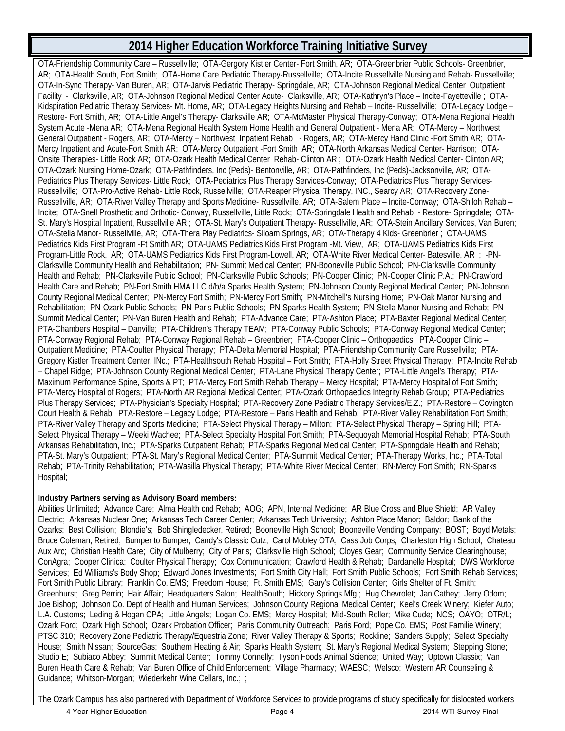OTA-Friendship Community Care – Russellville; OTA-Gergory Kistler Center- Fort Smith, AR; OTA-Greenbrier Public Schools- Greenbrier, AR; OTA-Health South, Fort Smith; OTA-Home Care Pediatric Therapy-Russellville; OTA-Incite Russellville Nursing and Rehab- Russellville; OTA-In-Sync Therapy- Van Buren, AR; OTA-Jarvis Pediatric Therapy- Springdale, AR; OTA-Johnson Regional Medical Center Outpatient Facility - Clarksville, AR; OTA-Johnson Regional Medical Center Acute- Clarksville, AR; OTA-Kathryn's Place – Incite-Fayetteville ; OTA-Kidspiration Pediatric Therapy Services- Mt. Home, AR; OTA-Legacy Heights Nursing and Rehab – Incite- Russellville; OTA-Legacy Lodge – Restore- Fort Smith, AR; OTA-Little Angel's Therapy- Clarksville AR; OTA-McMaster Physical Therapy-Conway; OTA-Mena Regional Health System Acute -Mena AR; OTA-Mena Regional Health System Home Health and General Outpatient - Mena AR; OTA-Mercy – Northwest General Outpatient - Rogers, AR; OTA-Mercy – Northwest Inpatient Rehab - Rogers, AR; OTA-Mercy Hand Clinic -Fort Smith AR; OTA-Mercy Inpatient and Acute-Fort Smith AR; OTA-Mercy Outpatient -Fort Smith AR; OTA-North Arkansas Medical Center- Harrison; OTA-Onsite Therapies- Little Rock AR; OTA-Ozark Health Medical Center Rehab- Clinton AR ; OTA-Ozark Health Medical Center- Clinton AR; OTA-Ozark Nursing Home-Ozark; OTA-Pathfinders, Inc (Peds)- Bentonville, AR; OTA-Pathfinders, Inc (Peds)-Jacksonville, AR; OTA-Pediatrics Plus Therapy Services- Little Rock; OTA-Pediatrics Plus Therapy Services-Conway; OTA-Pediatrics Plus Therapy Services-Russellville; OTA-Pro-Active Rehab- Little Rock, Russellville; OTA-Reaper Physical Therapy, INC., Searcy AR; OTA-Recovery Zone-Russellville, AR; OTA-River Valley Therapy and Sports Medicine- Russellville, AR; OTA-Salem Place – Incite-Conway; OTA-Shiloh Rehab – Incite; OTA-Snell Prosthetic and Orthotic- Conway, Russellville, Little Rock; OTA-Springdale Health and Rehab - Restore- Springdale; OTA-St. Mary's Hospital Inpatient, Russellville AR ; OTA-St. Mary's Outpatient Therapy- Russellville, AR; OTA-Stein Ancillary Services, Van Buren; OTA-Stella Manor- Russellville, AR; OTA-Thera Play Pediatrics- Siloam Springs, AR; OTA-Therapy 4 Kids- Greenbrier ; OTA-UAMS Pediatrics Kids First Program -Ft Smith AR; OTA-UAMS Pediatrics Kids First Program -Mt. View, AR; OTA-UAMS Pediatrics Kids First Program-Little Rock, AR; OTA-UAMS Pediatrics Kids First Program-Lowell, AR; OTA-White River Medical Center- Batesville, AR ; -PN-Clarksville Community Health and Rehabilitation; PN- Summit Medical Center; PN-Booneville Public School; PN-Clarksville Community Health and Rehab; PN-Clarksville Public School; PN-Clarksville Public Schools; PN-Cooper Clinic; PN-Cooper Clinic P.A.; PN-Crawford Health Care and Rehab; PN-Fort Smith HMA LLC d/b/a Sparks Health System; PN-Johnson County Regional Medical Center; PN-Johnson County Regional Medical Center; PN-Mercy Fort Smith; PN-Mercy Fort Smith; PN-Mitchell's Nursing Home; PN-Oak Manor Nursing and Rehabilitation; PN-Ozark Public Schools; PN-Paris Public Schools; PN-Sparks Health System; PN-Stella Manor Nursing and Rehab; PN-Summit Medical Center; PN-Van Buren Health and Rehab; PTA-Advance Care; PTA-Ashton Place; PTA-Baxter Regional Medical Center; PTA-Chambers Hospital – Danville; PTA-Children's Therapy TEAM; PTA-Conway Public Schools; PTA-Conway Regional Medical Center; PTA-Conway Regional Rehab; PTA-Conway Regional Rehab – Greenbrier; PTA-Cooper Clinic – Orthopaedics; PTA-Cooper Clinic – Outpatient Medicine; PTA-Coulter Physical Therapy; PTA-Delta Memorial Hospital; PTA-Friendship Community Care Russellville; PTA-Gregory Kistler Treatment Center, INc.; PTA-Healthsouth Rehab Hospital – Fort Smith; PTA-Holly Street Physical Therapy; PTA-Incite Rehab – Chapel Ridge; PTA-Johnson County Regional Medical Center; PTA-Lane Physical Therapy Center; PTA-Little Angel's Therapy; PTA-Maximum Performance Spine, Sports & PT; PTA-Mercy Fort Smith Rehab Therapy – Mercy Hospital; PTA-Mercy Hospital of Fort Smith; PTA-Mercy Hospital of Rogers; PTA-North AR Regional Medical Center; PTA-Ozark Orthopaedics Integrity Rehab Group; PTA-Pediatrics Plus Therapy Services; PTA-Physician's Specialty Hospital; PTA-Recovery Zone Pediatric Therapy Services/E.Z.; PTA-Restore – Covington Court Health & Rehab; PTA-Restore – Legacy Lodge; PTA-Restore – Paris Health and Rehab; PTA-River Valley Rehabilitation Fort Smith; PTA-River Valley Therapy and Sports Medicine; PTA-Select Physical Therapy – Milton; PTA-Select Physical Therapy – Spring Hill; PTA-Select Physical Therapy – Weeki Wachee; PTA-Select Specialty Hospital Fort Smith; PTA-Sequoyah Memorial Hospital Rehab; PTA-South Arkansas Rehabilitation, Inc.; PTA-Sparks Outpatient Rehab; PTA-Sparks Regional Medical Center; PTA-Springdale Health and Rehab; PTA-St. Mary's Outpatient; PTA-St. Mary's Regional Medical Center; PTA-Summit Medical Center; PTA-Therapy Works, Inc.; PTA-Total Rehab; PTA-Trinity Rehabilitation; PTA-Wasilla Physical Therapy; PTA-White River Medical Center; RN-Mercy Fort Smith; RN-Sparks Hospital;

#### I**ndustry Partners serving as Advisory Board members:**

Abilities Unlimited; Advance Care; Alma Health cnd Rehab; AOG; APN, Internal Medicine; AR Blue Cross and Blue Shield; AR Valley Electric; Arkansas Nuclear One; Arkansas Tech Career Center; Arkansas Tech University; Ashton Place Manor; Baldor; Bank of the Ozarks; Best Collision; Blondie's; Bob Shingledecker, Retired; Booneville High School; Booneville Vending Company; BOST; Boyd Metals; Bruce Coleman, Retired; Bumper to Bumper; Candy's Classic Cutz; Carol Mobley OTA; Cass Job Corps; Charleston High School; Chateau Aux Arc; Christian Health Care; City of Mulberry; City of Paris; Clarksville High School; Cloyes Gear; Community Service Clearinghouse; ConAgra; Cooper Clinica; Coulter Physical Therapy; Cox Communication; Crawford Health & Rehab; Dardanelle Hospital; DWS Workforce Services; Ed Williams's Body Shop; Edward Jones Investments; Fort Smith City Hall; Fort Smith Public Schools; Fort Smith Rehab Services; Fort Smith Public Library; Franklin Co. EMS; Freedom House; Ft. Smith EMS; Gary's Collision Center; Girls Shelter of Ft. Smith; Greenhurst; Greg Perrin; Hair Affair; Headquarters Salon; HealthSouth; Hickory Springs Mfg.; Hug Chevrolet; Jan Cathey; Jerry Odom; Joe Bishop; Johnson Co. Dept of Health and Human Services; Johnson County Regional Medical Center; Keel's Creek Winery; Kiefer Auto; L.A. Customs; Leding & Hogan CPA; Little Angels; Logan Co. EMS; Mercy Hospital; Mid-South Roller; Mike Cude; NCS; OAYO; OTR/L; Ozark Ford; Ozark High School; Ozark Probation Officer; Paris Community Outreach; Paris Ford; Pope Co. EMS; Post Familie Winery; PTSC 310; Recovery Zone Pediatric Therapy/Equestria Zone; River Valley Therapy & Sports; Rockline; Sanders Supply; Select Specialty House; Smith Nissan; SourceGas; Southern Heating & Air; Sparks Health System; St. Mary's Regional Medical System; Stepping Stone; Studio E; Subiaco Abbey; Summit Medical Center; Tommy Connelly; Tyson Foods Animal Science; United Way; Uptown Classix; Van Buren Health Care & Rehab; Van Buren Office of Child Enforcement; Village Pharmacy; WAESC; Welsco; Western AR Counseling & Guidance; Whitson-Morgan; Wiederkehr Wine Cellars, Inc.; ;

The Ozark Campus has also partnered with Department of Workforce Services to provide programs of study specifically for dislocated workers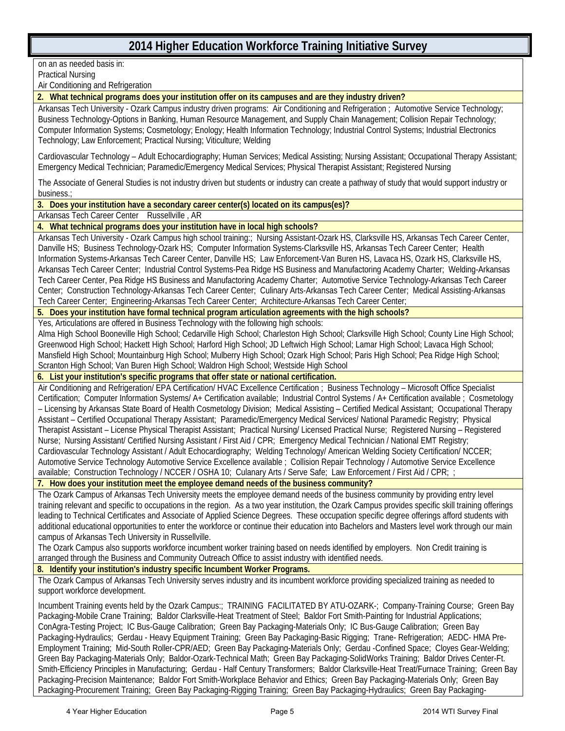on an as needed basis in: Practical Nursing Air Conditioning and Refrigeration

**2. What technical programs does your institution offer on its campuses and are they industry driven?**

Arkansas Tech University - Ozark Campus industry driven programs: Air Conditioning and Refrigeration ; Automotive Service Technology; Business Technology-Options in Banking, Human Resource Management, and Supply Chain Management; Collision Repair Technology; Computer Information Systems; Cosmetology; Enology; Health Information Technology; Industrial Control Systems; Industrial Electronics Technology; Law Enforcement; Practical Nursing; Viticulture; Welding

Cardiovascular Technology – Adult Echocardiography; Human Services; Medical Assisting; Nursing Assistant; Occupational Therapy Assistant; Emergency Medical Technician; Paramedic/Emergency Medical Services; Physical Therapist Assistant; Registered Nursing

The Associate of General Studies is not industry driven but students or industry can create a pathway of study that would support industry or business.;

**3. Does your institution have a secondary career center(s) located on its campus(es)?**

Arkansas Tech Career Center Russellville , AR

**4. What technical programs does your institution have in local high schools?**

Arkansas Tech University - Ozark Campus high school training:; Nursing Assistant-Ozark HS, Clarksville HS, Arkansas Tech Career Center, Danville HS; Business Technology-Ozark HS; Computer Information Systems-Clarksville HS, Arkansas Tech Career Center; Health Information Systems-Arkansas Tech Career Center, Danville HS; Law Enforcement-Van Buren HS, Lavaca HS, Ozark HS, Clarksville HS, Arkansas Tech Career Center; Industrial Control Systems-Pea Ridge HS Business and Manufactoring Academy Charter; Welding-Arkansas Tech Career Center, Pea Ridge HS Business and Manufactoring Academy Charter; Automotive Service Technology-Arkansas Tech Career Center; Construction Technology-Arkansas Tech Career Center; Culinary Arts-Arkansas Tech Career Center; Medical Assisting-Arkansas Tech Career Center; Engineering-Arkansas Tech Career Center; Architecture-Arkansas Tech Career Center;

**5. Does your institution have formal technical program articulation agreements with the high schools?**

Yes, Articulations are offered in Business Technology with the following high schools:

Alma High School Booneville High School; Cedarville High School; Charleston High School; Clarksville High School; County Line High School; Greenwood High School; Hackett High School; Harford High School; JD Leftwich High School; Lamar High School; Lavaca High School; Mansfield High School; Mountainburg High School; Mulberry High School; Ozark High School; Paris High School; Pea Ridge High School; Scranton High School; Van Buren High School; Waldron High School; Westside High School

#### **6. List your institution's specific programs that offer state or national certification.**

Air Conditioning and Refrigeration/ EPA Certification/ HVAC Excellence Certification ; Business Technology – Microsoft Office Specialist Certification; Computer Information Systems/ A+ Certification available; Industrial Control Systems / A+ Certification available ; Cosmetology – Licensing by Arkansas State Board of Health Cosmetology Division; Medical Assisting – Certified Medical Assistant; Occupational Therapy Assistant – Certified Occupational Therapy Assistant; Paramedic/Emergency Medical Services/ National Paramedic Registry; Physical Therapist Assistant – License Physical Therapist Assistant; Practical Nursing/ Licensed Practical Nurse; Registered Nursing – Registered Nurse; Nursing Assistant/ Certified Nursing Assistant / First Aid / CPR; Emergency Medical Technician / National EMT Registry; Cardiovascular Technology Assistant / Adult Echocardiography; Welding Technology/ American Welding Society Certification/ NCCER; Automotive Service Technology Automotive Service Excellence available ; Collision Repair Technology / Automotive Service Excellence available; Construction Technology / NCCER / OSHA 10; Culanary Arts / Serve Safe; Law Enforcement / First Aid / CPR; ;

**7. How does your institution meet the employee demand needs of the business community?**

The Ozark Campus of Arkansas Tech University meets the employee demand needs of the business community by providing entry level training relevant and specific to occupations in the region. As a two year institution, the Ozark Campus provides specific skill training offerings leading to Technical Certificates and Associate of Applied Science Degrees. These occupation specific degree offerings afford students with additional educational opportunities to enter the workforce or continue their education into Bachelors and Masters level work through our main campus of Arkansas Tech University in Russellville.

The Ozark Campus also supports workforce incumbent worker training based on needs identified by employers. Non Credit training is arranged through the Business and Community Outreach Office to assist industry with identified needs.

**8. Identify your institution's industry specific Incumbent Worker Programs.**

The Ozark Campus of Arkansas Tech University serves industry and its incumbent workforce providing specialized training as needed to support workforce development.

Incumbent Training events held by the Ozark Campus:; TRAINING FACILITATED BY ATU-OZARK-; Company-Training Course; Green Bay Packaging-Mobile Crane Training; Baldor Clarksville-Heat Treatment of Steel; Baldor Fort Smith-Painting for Industrial Applications; ConAgra-Testing Project; IC Bus-Gauge Calibration; Green Bay Packaging-Materials Only; IC Bus-Gauge Calibration; Green Bay Packaging-Hydraulics; Gerdau - Heavy Equipment Training; Green Bay Packaging-Basic Rigging; Trane- Refrigeration; AEDC- HMA Pre-Employment Training; Mid-South Roller-CPR/AED; Green Bay Packaging-Materials Only; Gerdau -Confined Space; Cloyes Gear-Welding; Green Bay Packaging-Materials Only; Baldor-Ozark-Technical Math; Green Bay Packaging-SolidWorks Training; Baldor Drives Center-Ft. Smith-Efficiency Principles in Manufacturing; Gerdau - Half Century Transformers; Baldor Clarksville-Heat Treat/Furnace Training; Green Bay Packaging-Precision Maintenance; Baldor Fort Smith-Workplace Behavior and Ethics; Green Bay Packaging-Materials Only; Green Bay Packaging-Procurement Training; Green Bay Packaging-Rigging Training; Green Bay Packaging-Hydraulics; Green Bay Packaging-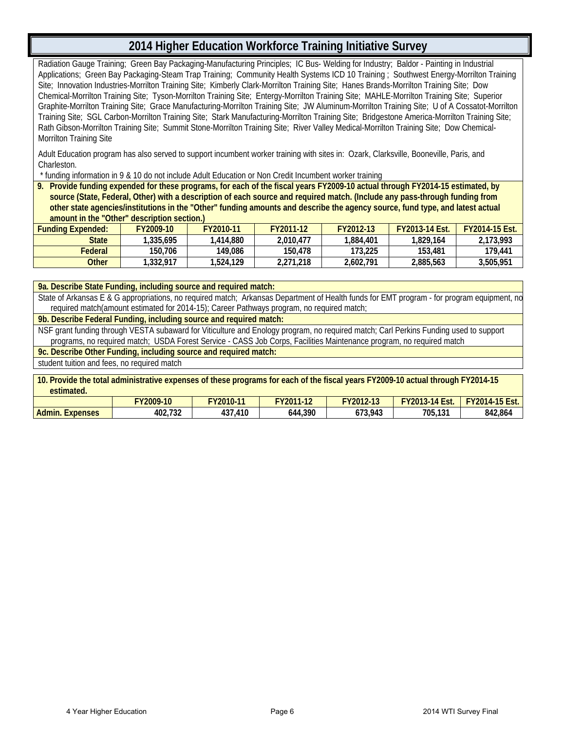Radiation Gauge Training; Green Bay Packaging-Manufacturing Principles; IC Bus- Welding for Industry; Baldor - Painting in Industrial Applications; Green Bay Packaging-Steam Trap Training; Community Health Systems ICD 10 Training ; Southwest Energy-Morrilton Training Site; Innovation Industries-Morrilton Training Site; Kimberly Clark-Morrilton Training Site; Hanes Brands-Morrilton Training Site; Dow Chemical-Morrilton Training Site; Tyson-Morrilton Training Site; Entergy-Morrilton Training Site; MAHLE-Morrilton Training Site; Superior Graphite-Morrilton Training Site; Grace Manufacturing-Morrilton Training Site; JW Aluminum-Morrilton Training Site; U of A Cossatot-Morrilton Training Site; SGL Carbon-Morrilton Training Site; Stark Manufacturing-Morrilton Training Site; Bridgestone America-Morrilton Training Site; Rath Gibson-Morrilton Training Site; Summit Stone-Morrilton Training Site; River Valley Medical-Morrilton Training Site; Dow Chemical-Morrilton Training Site

Adult Education program has also served to support incumbent worker training with sites in: Ozark, Clarksville, Booneville, Paris, and Charleston.

\* funding information in 9 & 10 do not include Adult Education or Non Credit Incumbent worker training

**9. Provide funding expended for these programs, for each of the fiscal years FY2009-10 actual through FY2014-15 estimated, by source (State, Federal, Other) with a description of each source and required match. (Include any pass-through funding from other state agencies/institutions in the "Other" funding amounts and describe the agency source, fund type, and latest actual amount in the "Other" description section.)**

| <b>Funding Expended:</b> | FY2009-10 | FY2010-11 | FY2011-12 | FY2012-13 | <b>FY2013-14 Est.</b> | <b>FY2014-15 Est.</b> |
|--------------------------|-----------|-----------|-----------|-----------|-----------------------|-----------------------|
| State                    | 1.335.695 | 1.414.880 | 2.010.477 | 1.884.401 | 1.829.164             | 2.173.993             |
| Federal                  | 150.706   | 149.086   | 150.478   | 173,225   | 153.481               | 179.441               |
| Other                    | 1.332.917 | 1,524,129 | 2.271.218 | 2.602.791 | 2.885.563             | 3.505.951             |

#### **9a. Describe State Funding, including source and required match:**

State of Arkansas E & G appropriations, no required match; Arkansas Department of Health funds for EMT program - for program equipment, no required match(amount estimated for 2014-15); Career Pathways program, no required match;

**9b. Describe Federal Funding, including source and required match:**

NSF grant funding through VESTA subaward for Viticulture and Enology program, no required match; Carl Perkins Funding used to support programs, no required match; USDA Forest Service - CASS Job Corps, Facilities Maintenance program, no required match

**9c. Describe Other Funding, including source and required match:**

student tuition and fees, no required match

| 10. Provide the total administrative expenses of these programs for each of the fiscal years FY2009-10 actual through FY2014-15<br>estimated. |                  |           |           |           |                       |                       |  |  |
|-----------------------------------------------------------------------------------------------------------------------------------------------|------------------|-----------|-----------|-----------|-----------------------|-----------------------|--|--|
|                                                                                                                                               | <b>FY2009-10</b> | FY2010-11 | FY2011-12 | FY2012-13 | <b>FY2013-14 Est.</b> | <b>FY2014-15 Est.</b> |  |  |
| Admin. Expenses                                                                                                                               | 402.732          | 437.410   | 644.390   | 673.943   | 705.131               | 842,864               |  |  |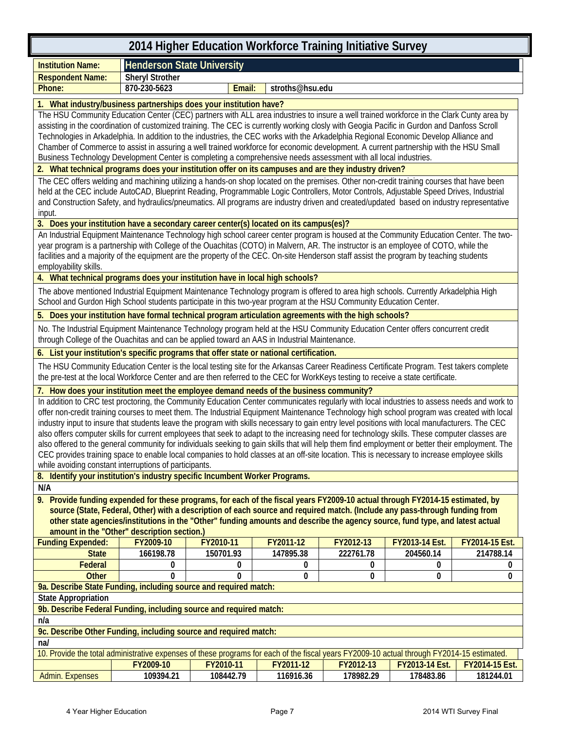| <b>Henderson State University</b><br><b>Institution Name:</b><br><b>Sheryl Strother</b><br><b>Respondent Name:</b>                                                                                                                                                                        |  |  |  |  |  |  |  |
|-------------------------------------------------------------------------------------------------------------------------------------------------------------------------------------------------------------------------------------------------------------------------------------------|--|--|--|--|--|--|--|
|                                                                                                                                                                                                                                                                                           |  |  |  |  |  |  |  |
|                                                                                                                                                                                                                                                                                           |  |  |  |  |  |  |  |
| 870-230-5623<br>stroths@hsu.edu<br>Phone:<br>Email:                                                                                                                                                                                                                                       |  |  |  |  |  |  |  |
| 1. What industry/business partnerships does your institution have?                                                                                                                                                                                                                        |  |  |  |  |  |  |  |
| The HSU Community Education Center (CEC) partners with ALL area industries to insure a well trained workforce in the Clark Cunty area by                                                                                                                                                  |  |  |  |  |  |  |  |
| assisting in the coordination of customized training. The CEC is currently working closly with Geogia Pacific in Gurdon and Danfoss Scroll                                                                                                                                                |  |  |  |  |  |  |  |
| Technologies in Arkadelphia. In addition to the industries, the CEC works with the Arkadelphia Regional Economic Develop Alliance and<br>Chamber of Commerce to assist in assuring a well trained workforce for economic development. A current partnership with the HSU Small            |  |  |  |  |  |  |  |
| Business Technology Development Center is completing a comprehensive needs assessment with all local industries.                                                                                                                                                                          |  |  |  |  |  |  |  |
| 2. What technical programs does your institution offer on its campuses and are they industry driven?                                                                                                                                                                                      |  |  |  |  |  |  |  |
| The CEC offers welding and machining utilizing a hands-on shop located on the premises. Other non-credit training courses that have been                                                                                                                                                  |  |  |  |  |  |  |  |
| held at the CEC include AutoCAD, Blueprint Reading, Programmable Logic Controllers, Motor Controls, Adjustable Speed Drives, Industrial                                                                                                                                                   |  |  |  |  |  |  |  |
| and Construction Safety, and hydraulics/pneumatics. All programs are industry driven and created/updated based on industry representative                                                                                                                                                 |  |  |  |  |  |  |  |
| input.                                                                                                                                                                                                                                                                                    |  |  |  |  |  |  |  |
| 3. Does your institution have a secondary career center(s) located on its campus(es)?<br>An Industrial Equipment Maintenance Technology high school career center program is housed at the Community Education Center. The two-                                                           |  |  |  |  |  |  |  |
| year program is a partnership with College of the Ouachitas (COTO) in Malvern, AR. The instructor is an employee of COTO, while the                                                                                                                                                       |  |  |  |  |  |  |  |
| facilities and a majority of the equipment are the property of the CEC. On-site Henderson staff assist the program by teaching students                                                                                                                                                   |  |  |  |  |  |  |  |
| employability skills.                                                                                                                                                                                                                                                                     |  |  |  |  |  |  |  |
| 4. What technical programs does your institution have in local high schools?                                                                                                                                                                                                              |  |  |  |  |  |  |  |
| The above mentioned Industrial Equipment Maintenance Technology program is offered to area high schools. Currently Arkadelphia High                                                                                                                                                       |  |  |  |  |  |  |  |
| School and Gurdon High School students participate in this two-year program at the HSU Community Education Center.                                                                                                                                                                        |  |  |  |  |  |  |  |
| 5. Does your institution have formal technical program articulation agreements with the high schools?                                                                                                                                                                                     |  |  |  |  |  |  |  |
| No. The Industrial Equipment Maintenance Technology program held at the HSU Community Education Center offers concurrent credit<br>through College of the Ouachitas and can be applied toward an AAS in Industrial Maintenance.                                                           |  |  |  |  |  |  |  |
| 6. List your institution's specific programs that offer state or national certification.                                                                                                                                                                                                  |  |  |  |  |  |  |  |
| The HSU Community Education Center is the local testing site for the Arkansas Career Readiness Certificate Program. Test takers complete<br>the pre-test at the local Workforce Center and are then referred to the CEC for WorkKeys testing to receive a state certificate.              |  |  |  |  |  |  |  |
|                                                                                                                                                                                                                                                                                           |  |  |  |  |  |  |  |
| 7. How does your institution meet the employee demand needs of the business community?                                                                                                                                                                                                    |  |  |  |  |  |  |  |
|                                                                                                                                                                                                                                                                                           |  |  |  |  |  |  |  |
| In addition to CRC test proctoring, the Community Education Center communicates regularly with local industries to assess needs and work to<br>offer non-credit training courses to meet them. The Industrial Equipment Maintenance Technology high school program was created with local |  |  |  |  |  |  |  |
| industry input to insure that students leave the program with skills necessary to gain entry level positions with local manufacturers. The CEC                                                                                                                                            |  |  |  |  |  |  |  |
| also offers computer skills for current employees that seek to adapt to the increasing need for technology skills. These computer classes are                                                                                                                                             |  |  |  |  |  |  |  |
| also offered to the general community for individuals seeking to gain skills that will help them find employment or better their employment. The                                                                                                                                          |  |  |  |  |  |  |  |
| CEC provides training space to enable local companies to hold classes at an off-site location. This is necessary to increase employee skills                                                                                                                                              |  |  |  |  |  |  |  |
| while avoiding constant interruptions of participants.<br>8. Identify your institution's industry specific Incumbent Worker Programs.                                                                                                                                                     |  |  |  |  |  |  |  |
| N/A                                                                                                                                                                                                                                                                                       |  |  |  |  |  |  |  |
| 9. Provide funding expended for these programs, for each of the fiscal years FY2009-10 actual through FY2014-15 estimated, by                                                                                                                                                             |  |  |  |  |  |  |  |
| source (State, Federal, Other) with a description of each source and required match. (Include any pass-through funding from                                                                                                                                                               |  |  |  |  |  |  |  |
| other state agencies/institutions in the "Other" funding amounts and describe the agency source, fund type, and latest actual                                                                                                                                                             |  |  |  |  |  |  |  |
| amount in the "Other" description section.)                                                                                                                                                                                                                                               |  |  |  |  |  |  |  |
| <b>Funding Expended:</b><br>FY2011-12<br>FY2012-13<br>FY2013-14 Est.<br>FY2009-10<br>FY2010-11<br>FY2014-15 Est.                                                                                                                                                                          |  |  |  |  |  |  |  |
| <b>State</b><br>166198.78<br>150701.93<br>147895.38<br>222761.78<br>204560.14<br>214788.14<br>Federal<br>0<br>0<br>0<br>0<br>0<br>0                                                                                                                                                       |  |  |  |  |  |  |  |
| 0<br><b>Other</b><br>$\Omega$<br>0<br>0<br>0<br>0                                                                                                                                                                                                                                         |  |  |  |  |  |  |  |
| 9a. Describe State Funding, including source and required match:                                                                                                                                                                                                                          |  |  |  |  |  |  |  |
| <b>State Appropriation</b>                                                                                                                                                                                                                                                                |  |  |  |  |  |  |  |
| 9b. Describe Federal Funding, including source and required match:                                                                                                                                                                                                                        |  |  |  |  |  |  |  |
| n/a                                                                                                                                                                                                                                                                                       |  |  |  |  |  |  |  |
| 9c. Describe Other Funding, including source and required match:                                                                                                                                                                                                                          |  |  |  |  |  |  |  |
| nab                                                                                                                                                                                                                                                                                       |  |  |  |  |  |  |  |
| 10. Provide the total administrative expenses of these programs for each of the fiscal years FY2009-10 actual through FY2014-15 estimated.<br>FY2009-10<br>FY2010-11<br>FY2011-12<br>FY2012-13<br>FY2013-14 Est.<br>FY2014-15 Est.                                                        |  |  |  |  |  |  |  |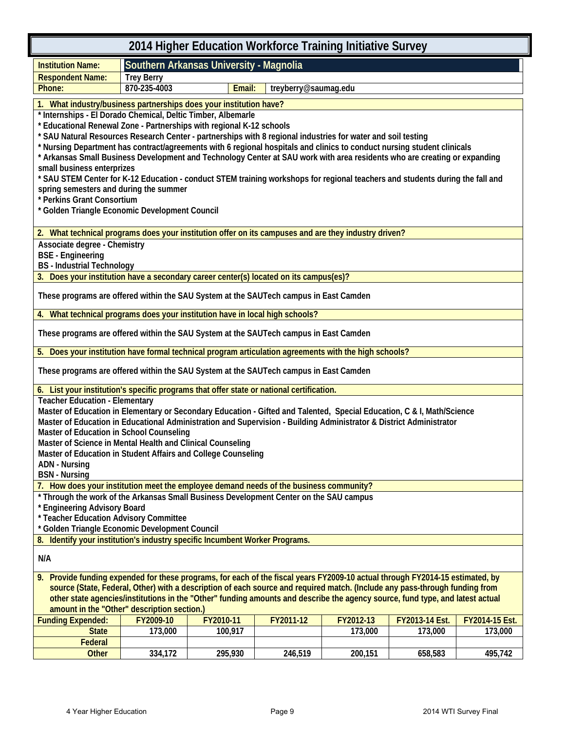|                                                                                                                                                                                      | 2014 Higher Education Workforce Training Initiative Survey |                                         |                      |           |                |                |  |  |
|--------------------------------------------------------------------------------------------------------------------------------------------------------------------------------------|------------------------------------------------------------|-----------------------------------------|----------------------|-----------|----------------|----------------|--|--|
| <b>Institution Name:</b>                                                                                                                                                             |                                                            | Southern Arkansas University - Magnolia |                      |           |                |                |  |  |
| <b>Respondent Name:</b>                                                                                                                                                              | <b>Trey Berry</b>                                          |                                         |                      |           |                |                |  |  |
| Phone:                                                                                                                                                                               | 870-235-4003                                               | Email:                                  | treyberry@saumag.edu |           |                |                |  |  |
| 1. What industry/business partnerships does your institution have?                                                                                                                   |                                                            |                                         |                      |           |                |                |  |  |
| * Internships - El Dorado Chemical, Deltic Timber, Albemarle                                                                                                                         |                                                            |                                         |                      |           |                |                |  |  |
| * Educational Renewal Zone - Partnerships with regional K-12 schools<br>* SAU Natural Resources Research Center - partnerships with 8 regional industries for water and soil testing |                                                            |                                         |                      |           |                |                |  |  |
| * Nursing Department has contract/agreements with 6 regional hospitals and clinics to conduct nursing student clinicals                                                              |                                                            |                                         |                      |           |                |                |  |  |
| * Arkansas Small Business Development and Technology Center at SAU work with area residents who are creating or expanding                                                            |                                                            |                                         |                      |           |                |                |  |  |
| small business enterprizes                                                                                                                                                           |                                                            |                                         |                      |           |                |                |  |  |
| * SAU STEM Center for K-12 Education - conduct STEM training workshops for regional teachers and students during the fall and<br>spring semesters and during the summer              |                                                            |                                         |                      |           |                |                |  |  |
| * Perkins Grant Consortium                                                                                                                                                           |                                                            |                                         |                      |           |                |                |  |  |
| * Golden Triangle Economic Development Council                                                                                                                                       |                                                            |                                         |                      |           |                |                |  |  |
| 2. What technical programs does your institution offer on its campuses and are they industry driven?                                                                                 |                                                            |                                         |                      |           |                |                |  |  |
| Associate degree - Chemistry                                                                                                                                                         |                                                            |                                         |                      |           |                |                |  |  |
| <b>BSE</b> - Engineering<br><b>BS</b> - Industrial Technology                                                                                                                        |                                                            |                                         |                      |           |                |                |  |  |
| 3. Does your institution have a secondary career center(s) located on its campus(es)?                                                                                                |                                                            |                                         |                      |           |                |                |  |  |
| These programs are offered within the SAU System at the SAUTech campus in East Camden                                                                                                |                                                            |                                         |                      |           |                |                |  |  |
| 4. What technical programs does your institution have in local high schools?                                                                                                         |                                                            |                                         |                      |           |                |                |  |  |
| These programs are offered within the SAU System at the SAUTech campus in East Camden                                                                                                |                                                            |                                         |                      |           |                |                |  |  |
| Does your institution have formal technical program articulation agreements with the high schools?<br>5.                                                                             |                                                            |                                         |                      |           |                |                |  |  |
|                                                                                                                                                                                      |                                                            |                                         |                      |           |                |                |  |  |
| These programs are offered within the SAU System at the SAUTech campus in East Camden                                                                                                |                                                            |                                         |                      |           |                |                |  |  |
| 6. List your institution's specific programs that offer state or national certification.<br><b>Teacher Education - Elementary</b>                                                    |                                                            |                                         |                      |           |                |                |  |  |
| Master of Education in Elementary or Secondary Education - Gifted and Talented, Special Education, C & I, Math/Science                                                               |                                                            |                                         |                      |           |                |                |  |  |
| Master of Education in Educational Administration and Supervision - Building Administrator & District Administrator                                                                  |                                                            |                                         |                      |           |                |                |  |  |
| Master of Education in School Counseling                                                                                                                                             |                                                            |                                         |                      |           |                |                |  |  |
| Master of Science in Mental Health and Clinical Counseling                                                                                                                           |                                                            |                                         |                      |           |                |                |  |  |
| Master of Education in Student Affairs and College Counseling<br><b>ADN - Nursing</b>                                                                                                |                                                            |                                         |                      |           |                |                |  |  |
| <b>BSN</b> - Nursing                                                                                                                                                                 |                                                            |                                         |                      |           |                |                |  |  |
| 7. How does your institution meet the employee demand needs of the business community?                                                                                               |                                                            |                                         |                      |           |                |                |  |  |
| * Through the work of the Arkansas Small Business Development Center on the SAU campus                                                                                               |                                                            |                                         |                      |           |                |                |  |  |
| * Engineering Advisory Board<br>* Teacher Education Advisory Committee                                                                                                               |                                                            |                                         |                      |           |                |                |  |  |
| Golden Triangle Economic Development Council                                                                                                                                         |                                                            |                                         |                      |           |                |                |  |  |
| Identify your institution's industry specific Incumbent Worker Programs.<br>8.                                                                                                       |                                                            |                                         |                      |           |                |                |  |  |
| N/A                                                                                                                                                                                  |                                                            |                                         |                      |           |                |                |  |  |
| 9. Provide funding expended for these programs, for each of the fiscal years FY2009-10 actual through FY2014-15 estimated, by                                                        |                                                            |                                         |                      |           |                |                |  |  |
| source (State, Federal, Other) with a description of each source and required match. (Include any pass-through funding from                                                          |                                                            |                                         |                      |           |                |                |  |  |
| other state agencies/institutions in the "Other" funding amounts and describe the agency source, fund type, and latest actual<br>amount in the "Other" description section.)         |                                                            |                                         |                      |           |                |                |  |  |
| <b>Funding Expended:</b>                                                                                                                                                             | FY2009-10                                                  | FY2010-11                               | FY2011-12            | FY2012-13 | FY2013-14 Est. | FY2014-15 Est. |  |  |
| <b>State</b>                                                                                                                                                                         | 173,000                                                    | 100,917                                 |                      | 173,000   | 173,000        | 173,000        |  |  |
| Federal                                                                                                                                                                              |                                                            |                                         |                      |           |                |                |  |  |
| Other                                                                                                                                                                                | 334,172                                                    | 295,930                                 | 246,519              | 200,151   | 658,583        | 495,742        |  |  |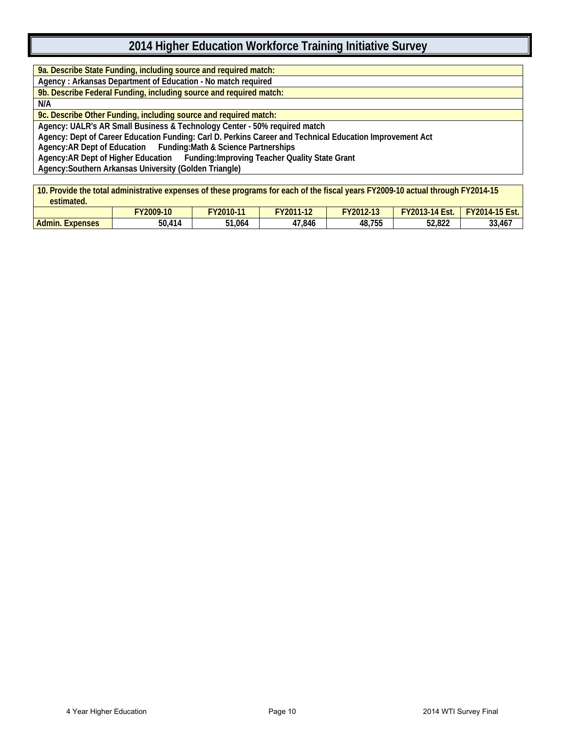**9a. Describe State Funding, including source and required match:**

**Agency : Arkansas Department of Education - No match required**

**9b. Describe Federal Funding, including source and required match:**

**N/A**

**9c. Describe Other Funding, including source and required match:**

**Agency: UALR's AR Small Business & Technology Center - 50% required match**

**Agency: Dept of Career Education Funding: Carl D. Perkins Career and Technical Education Improvement Act**

**Agency:AR Dept of Education Funding:Math & Science Partnerships** 

**Agency:AR Dept of Higher Education Funding:Improving Teacher Quality State Grant**

**Agency:Southern Arkansas University (Golden Triangle)**

**10. Provide the total administrative expenses of these programs for each of the fiscal years FY2009-10 actual through FY2014-15 estimated.**

| -----------------         |                    |            |                        |                              |                                   |                                      |
|---------------------------|--------------------|------------|------------------------|------------------------------|-----------------------------------|--------------------------------------|
|                           | FY2009-10          | $Y2010-11$ | 710011.10<br>Zu<br>. . | FY2012-<br>$-10$<br>$2 - 13$ | <b>FY2013</b><br>$5-14$ F<br>Est. | $-15Ect$<br>$Y2014 -$<br>ESI.<br>1 J |
| Admin.<br><b>Expenses</b> | $\Delta$ 14<br>טכ. | 51,064     | 47,846                 | 48,755                       | 52,822                            | 33,467                               |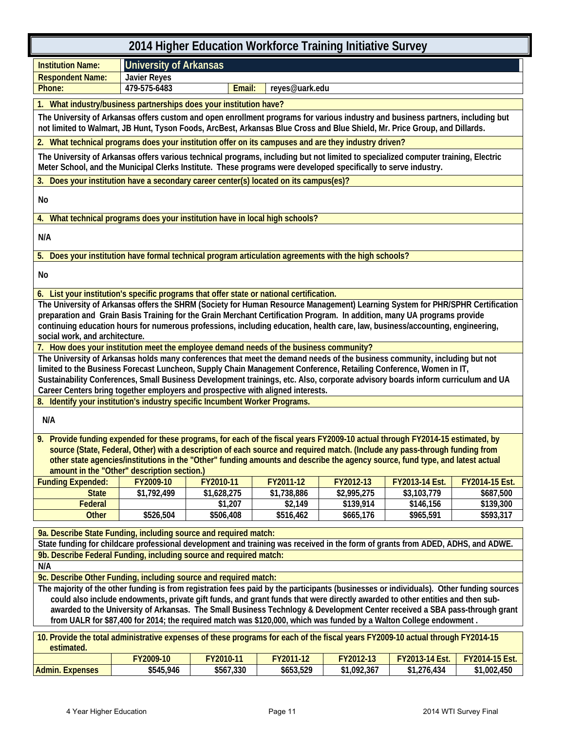| 2014 Higher Education Workforce Training Initiative Survey                                                                                    |                                                                                                                                                                                                                                                                          |             |             |             |                |                |  |  |
|-----------------------------------------------------------------------------------------------------------------------------------------------|--------------------------------------------------------------------------------------------------------------------------------------------------------------------------------------------------------------------------------------------------------------------------|-------------|-------------|-------------|----------------|----------------|--|--|
| <b>Institution Name:</b>                                                                                                                      | <b>University of Arkansas</b>                                                                                                                                                                                                                                            |             |             |             |                |                |  |  |
| <b>Respondent Name:</b>                                                                                                                       | <b>Javier Reyes</b>                                                                                                                                                                                                                                                      |             |             |             |                |                |  |  |
| Phone:<br>479-575-6483<br>Email:<br>reyes@uark.edu                                                                                            |                                                                                                                                                                                                                                                                          |             |             |             |                |                |  |  |
| 1. What industry/business partnerships does your institution have?                                                                            |                                                                                                                                                                                                                                                                          |             |             |             |                |                |  |  |
|                                                                                                                                               | The University of Arkansas offers custom and open enrollment programs for various industry and business partners, including but<br>not limited to Walmart, JB Hunt, Tyson Foods, ArcBest, Arkansas Blue Cross and Blue Shield, Mr. Price Group, and Dillards.            |             |             |             |                |                |  |  |
| 2. What technical programs does your institution offer on its campuses and are they industry driven?                                          |                                                                                                                                                                                                                                                                          |             |             |             |                |                |  |  |
|                                                                                                                                               | The University of Arkansas offers various technical programs, including but not limited to specialized computer training, Electric<br>Meter School, and the Municipal Clerks Institute. These programs were developed specifically to serve industry.                    |             |             |             |                |                |  |  |
| 3. Does your institution have a secondary career center(s) located on its campus(es)?                                                         |                                                                                                                                                                                                                                                                          |             |             |             |                |                |  |  |
| No                                                                                                                                            |                                                                                                                                                                                                                                                                          |             |             |             |                |                |  |  |
| 4. What technical programs does your institution have in local high schools?                                                                  |                                                                                                                                                                                                                                                                          |             |             |             |                |                |  |  |
| N/A                                                                                                                                           |                                                                                                                                                                                                                                                                          |             |             |             |                |                |  |  |
| 5. Does your institution have formal technical program articulation agreements with the high schools?                                         |                                                                                                                                                                                                                                                                          |             |             |             |                |                |  |  |
| No                                                                                                                                            |                                                                                                                                                                                                                                                                          |             |             |             |                |                |  |  |
| 6. List your institution's specific programs that offer state or national certification.                                                      |                                                                                                                                                                                                                                                                          |             |             |             |                |                |  |  |
|                                                                                                                                               | The University of Arkansas offers the SHRM (Society for Human Resource Management) Learning System for PHR/SPHR Certification                                                                                                                                            |             |             |             |                |                |  |  |
|                                                                                                                                               | preparation and Grain Basis Training for the Grain Merchant Certification Program. In addition, many UA programs provide<br>continuing education hours for numerous professions, including education, health care, law, business/accounting, engineering,                |             |             |             |                |                |  |  |
| social work, and architecture.                                                                                                                |                                                                                                                                                                                                                                                                          |             |             |             |                |                |  |  |
| 7. How does your institution meet the employee demand needs of the business community?                                                        |                                                                                                                                                                                                                                                                          |             |             |             |                |                |  |  |
|                                                                                                                                               | The University of Arkansas holds many conferences that meet the demand needs of the business community, including but not                                                                                                                                                |             |             |             |                |                |  |  |
|                                                                                                                                               | limited to the Business Forecast Luncheon, Supply Chain Management Conference, Retailing Conference, Women in IT,                                                                                                                                                        |             |             |             |                |                |  |  |
|                                                                                                                                               | Sustainability Conferences, Small Business Development trainings, etc. Also, corporate advisory boards inform curriculum and UA<br>Career Centers bring together employers and prospective with aligned interests.                                                       |             |             |             |                |                |  |  |
| 8. Identify your institution's industry specific Incumbent Worker Programs.                                                                   |                                                                                                                                                                                                                                                                          |             |             |             |                |                |  |  |
|                                                                                                                                               |                                                                                                                                                                                                                                                                          |             |             |             |                |                |  |  |
| N/A                                                                                                                                           |                                                                                                                                                                                                                                                                          |             |             |             |                |                |  |  |
| 9. Provide funding expended for these programs, for each of the fiscal years FY2009-10 actual through FY2014-15 estimated, by                 |                                                                                                                                                                                                                                                                          |             |             |             |                |                |  |  |
|                                                                                                                                               | source (State, Federal, Other) with a description of each source and required match. (Include any pass-through funding from                                                                                                                                              |             |             |             |                |                |  |  |
|                                                                                                                                               | other state agencies/institutions in the "Other" funding amounts and describe the agency source, fund type, and latest actual                                                                                                                                            |             |             |             |                |                |  |  |
| <b>Funding Expended:</b>                                                                                                                      | amount in the "Other" description section.)<br>FY2009-10                                                                                                                                                                                                                 | FY2010-11   | FY2011-12   | FY2012-13   | FY2013-14 Est. | FY2014-15 Est. |  |  |
| <b>State</b>                                                                                                                                  | \$1,792,499                                                                                                                                                                                                                                                              | \$1,628,275 | \$1,738,886 | \$2,995,275 | \$3,103,779    | \$687,500      |  |  |
| Federal                                                                                                                                       |                                                                                                                                                                                                                                                                          | \$1,207     | \$2,149     | \$139,914   | \$146,156      | \$139,300      |  |  |
| <b>Other</b>                                                                                                                                  | \$526,504                                                                                                                                                                                                                                                                | \$506,408   | \$516,462   | \$665,176   | \$965,591      | \$593,317      |  |  |
|                                                                                                                                               | 9a. Describe State Funding, including source and required match:                                                                                                                                                                                                         |             |             |             |                |                |  |  |
|                                                                                                                                               | State funding for childcare professional development and training was received in the form of grants from ADED, ADHS, and ADWE.                                                                                                                                          |             |             |             |                |                |  |  |
|                                                                                                                                               | 9b. Describe Federal Funding, including source and required match:                                                                                                                                                                                                       |             |             |             |                |                |  |  |
| N/A                                                                                                                                           |                                                                                                                                                                                                                                                                          |             |             |             |                |                |  |  |
|                                                                                                                                               | 9c. Describe Other Funding, including source and required match:                                                                                                                                                                                                         |             |             |             |                |                |  |  |
|                                                                                                                                               | The majority of the other funding is from registration fees paid by the participants (businesses or individuals). Other funding sources<br>could also include endowments, private gift funds, and grant funds that were directly awarded to other entities and then sub- |             |             |             |                |                |  |  |
|                                                                                                                                               | awarded to the University of Arkansas. The Small Business Technlogy & Development Center received a SBA pass-through grant                                                                                                                                               |             |             |             |                |                |  |  |
|                                                                                                                                               | from UALR for \$87,400 for 2014; the required match was \$120,000, which was funded by a Walton College endowment.                                                                                                                                                       |             |             |             |                |                |  |  |
| 10. Provide the total administrative expenses of these programs for each of the fiscal years FY2009-10 actual through FY2014-15<br>estimated. |                                                                                                                                                                                                                                                                          |             |             |             |                |                |  |  |
|                                                                                                                                               | FY2009-10                                                                                                                                                                                                                                                                | FY2010-11   | FY2011-12   | FY2012-13   | FY2013-14 Est. | FY2014-15 Est. |  |  |
| <b>Admin. Expenses</b>                                                                                                                        | \$545,946                                                                                                                                                                                                                                                                | \$567,330   | \$653,529   | \$1,092,367 | \$1,276,434    | \$1,002,450    |  |  |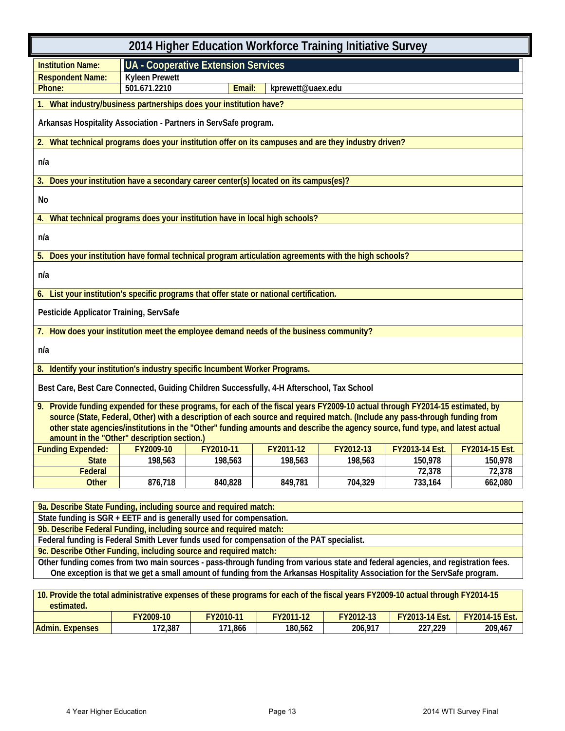| 2014 Higher Education Workforce Training Initiative Survey                                                                                                                                           |                       |                                            |         |         |                                                         |         |  |
|------------------------------------------------------------------------------------------------------------------------------------------------------------------------------------------------------|-----------------------|--------------------------------------------|---------|---------|---------------------------------------------------------|---------|--|
| <b>Institution Name:</b>                                                                                                                                                                             |                       | <b>UA - Cooperative Extension Services</b> |         |         |                                                         |         |  |
| <b>Respondent Name:</b>                                                                                                                                                                              | <b>Kyleen Prewett</b> |                                            |         |         |                                                         |         |  |
| 501.671.2210<br>Email:<br>kprewett@uaex.edu<br>Phone:                                                                                                                                                |                       |                                            |         |         |                                                         |         |  |
| What industry/business partnerships does your institution have?                                                                                                                                      |                       |                                            |         |         |                                                         |         |  |
| Arkansas Hospitality Association - Partners in ServSafe program.                                                                                                                                     |                       |                                            |         |         |                                                         |         |  |
| 2. What technical programs does your institution offer on its campuses and are they industry driven?                                                                                                 |                       |                                            |         |         |                                                         |         |  |
| n/a                                                                                                                                                                                                  |                       |                                            |         |         |                                                         |         |  |
| 3. Does your institution have a secondary career center(s) located on its campus(es)?                                                                                                                |                       |                                            |         |         |                                                         |         |  |
| No                                                                                                                                                                                                   |                       |                                            |         |         |                                                         |         |  |
| What technical programs does your institution have in local high schools?<br>4.                                                                                                                      |                       |                                            |         |         |                                                         |         |  |
| n/a                                                                                                                                                                                                  |                       |                                            |         |         |                                                         |         |  |
| 5. Does your institution have formal technical program articulation agreements with the high schools?                                                                                                |                       |                                            |         |         |                                                         |         |  |
| n/a                                                                                                                                                                                                  |                       |                                            |         |         |                                                         |         |  |
| 6. List your institution's specific programs that offer state or national certification.                                                                                                             |                       |                                            |         |         |                                                         |         |  |
| Pesticide Applicator Training, ServSafe                                                                                                                                                              |                       |                                            |         |         |                                                         |         |  |
| 7. How does your institution meet the employee demand needs of the business community?                                                                                                               |                       |                                            |         |         |                                                         |         |  |
| n/a                                                                                                                                                                                                  |                       |                                            |         |         |                                                         |         |  |
| 8. Identify your institution's industry specific Incumbent Worker Programs.                                                                                                                          |                       |                                            |         |         |                                                         |         |  |
| Best Care, Best Care Connected, Guiding Children Successfully, 4-H Afterschool, Tax School                                                                                                           |                       |                                            |         |         |                                                         |         |  |
| 9. Provide funding expended for these programs, for each of the fiscal years FY2009-10 actual through FY2014-15 estimated, by                                                                        |                       |                                            |         |         |                                                         |         |  |
| source (State, Federal, Other) with a description of each source and required match. (Include any pass-through funding from                                                                          |                       |                                            |         |         |                                                         |         |  |
| other state agencies/institutions in the "Other" funding amounts and describe the agency source, fund type, and latest actual<br>amount in the "Other" description section.)                         |                       |                                            |         |         |                                                         |         |  |
| Funding Expended:   FY2009-10                                                                                                                                                                        |                       | FY2010-11                                  |         |         | FY2011-12   FY2012-13   FY2013-14 Est.   FY2014-15 Est. |         |  |
| <b>State</b>                                                                                                                                                                                         | 198,563               | 198,563                                    | 198,563 | 198,563 | 150,978                                                 | 150,978 |  |
| Federal                                                                                                                                                                                              |                       |                                            |         |         | 72,378                                                  | 72,378  |  |
| <b>Other</b>                                                                                                                                                                                         | 876,718               | 840,828                                    | 849,781 | 704,329 | 733,164                                                 | 662,080 |  |
|                                                                                                                                                                                                      |                       |                                            |         |         |                                                         |         |  |
| 9a. Describe State Funding, including source and required match:                                                                                                                                     |                       |                                            |         |         |                                                         |         |  |
| State funding is SGR + EETF and is generally used for compensation.                                                                                                                                  |                       |                                            |         |         |                                                         |         |  |
| 9b. Describe Federal Funding, including source and required match:                                                                                                                                   |                       |                                            |         |         |                                                         |         |  |
| Federal funding is Federal Smith Lever funds used for compensation of the PAT specialist.                                                                                                            |                       |                                            |         |         |                                                         |         |  |
| 9c. Describe Other Funding, including source and required match:<br>Other funding comes from two main sources - pass-through funding from various state and federal agencies, and registration fees. |                       |                                            |         |         |                                                         |         |  |
| One exception is that we get a small amount of funding from the Arkansas Hospitality Association for the ServSafe program.                                                                           |                       |                                            |         |         |                                                         |         |  |

| 10. Provide the total administrative expenses of these programs for each of the fiscal years FY2009-10 actual through FY2014-15<br>estimated. |           |           |                  |           |                       |                       |  |  |
|-----------------------------------------------------------------------------------------------------------------------------------------------|-----------|-----------|------------------|-----------|-----------------------|-----------------------|--|--|
|                                                                                                                                               | FY2009-10 | FY2010-11 | <b>FY2011-12</b> | FY2012-13 | <b>FY2013-14 Est.</b> | <b>FY2014-15 Est.</b> |  |  |
| <b>Admin. Expenses</b>                                                                                                                        | 172.387   | 171.866   | 180.562          | 206.917   | 227.229               | 209.467               |  |  |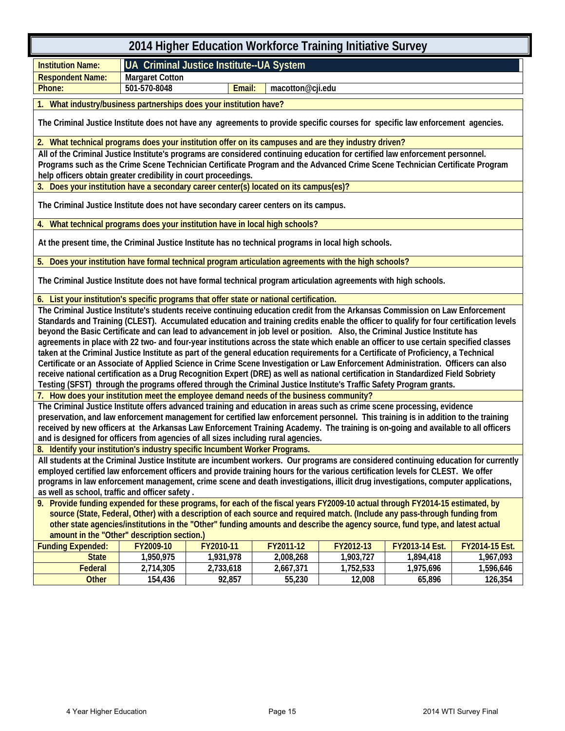|                                                                                                                                        | 2014 Higher Education Workforce Training Initiative Survey |                                          |                  |           |                |                |
|----------------------------------------------------------------------------------------------------------------------------------------|------------------------------------------------------------|------------------------------------------|------------------|-----------|----------------|----------------|
| <b>Institution Name:</b>                                                                                                               |                                                            | UA Criminal Justice Institute--UA System |                  |           |                |                |
| <b>Respondent Name:</b>                                                                                                                | <b>Margaret Cotton</b>                                     |                                          |                  |           |                |                |
| Phone:                                                                                                                                 | 501-570-8048                                               | Email:                                   | macotton@cji.edu |           |                |                |
| What industry/business partnerships does your institution have?                                                                        |                                                            |                                          |                  |           |                |                |
|                                                                                                                                        |                                                            |                                          |                  |           |                |                |
| The Criminal Justice Institute does not have any agreements to provide specific courses for specific law enforcement agencies.         |                                                            |                                          |                  |           |                |                |
| 2. What technical programs does your institution offer on its campuses and are they industry driven?                                   |                                                            |                                          |                  |           |                |                |
| All of the Criminal Justice Institute's programs are considered continuing education for certified law enforcement personnel.          |                                                            |                                          |                  |           |                |                |
| Programs such as the Crime Scene Technician Certificate Program and the Advanced Crime Scene Technician Certificate Program            |                                                            |                                          |                  |           |                |                |
| help officers obtain greater credibility in court proceedings.                                                                         |                                                            |                                          |                  |           |                |                |
| 3. Does your institution have a secondary career center(s) located on its campus(es)?                                                  |                                                            |                                          |                  |           |                |                |
| The Criminal Justice Institute does not have secondary career centers on its campus.                                                   |                                                            |                                          |                  |           |                |                |
| 4. What technical programs does your institution have in local high schools?                                                           |                                                            |                                          |                  |           |                |                |
| At the present time, the Criminal Justice Institute has no technical programs in local high schools.                                   |                                                            |                                          |                  |           |                |                |
| Does your institution have formal technical program articulation agreements with the high schools?                                     |                                                            |                                          |                  |           |                |                |
|                                                                                                                                        |                                                            |                                          |                  |           |                |                |
| The Criminal Justice Institute does not have formal technical program articulation agreements with high schools.                       |                                                            |                                          |                  |           |                |                |
| 6. List your institution's specific programs that offer state or national certification.                                               |                                                            |                                          |                  |           |                |                |
| The Criminal Justice Institute's students receive continuing education credit from the Arkansas Commission on Law Enforcement          |                                                            |                                          |                  |           |                |                |
| Standards and Training (CLEST). Accumulated education and training credits enable the officer to qualify for four certification levels |                                                            |                                          |                  |           |                |                |
| beyond the Basic Certificate and can lead to advancement in job level or position. Also, the Criminal Justice Institute has            |                                                            |                                          |                  |           |                |                |
| agreements in place with 22 two- and four-year institutions across the state which enable an officer to use certain specified classes  |                                                            |                                          |                  |           |                |                |
| taken at the Criminal Justice Institute as part of the general education requirements for a Certificate of Proficiency, a Technical    |                                                            |                                          |                  |           |                |                |
| Certificate or an Associate of Applied Science in Crime Scene Investigation or Law Enforcement Administration. Officers can also       |                                                            |                                          |                  |           |                |                |
| receive national certification as a Drug Recognition Expert (DRE) as well as national certification in Standardized Field Sobriety     |                                                            |                                          |                  |           |                |                |
| Testing (SFST) through the programs offered through the Criminal Justice Institute's Traffic Safety Program grants.                    |                                                            |                                          |                  |           |                |                |
| 7. How does your institution meet the employee demand needs of the business community?                                                 |                                                            |                                          |                  |           |                |                |
| The Criminal Justice Institute offers advanced training and education in areas such as crime scene processing, evidence                |                                                            |                                          |                  |           |                |                |
| preservation, and law enforcement management for certified law enforcement personnel. This training is in addition to the training     |                                                            |                                          |                  |           |                |                |
| received by new officers at the Arkansas Law Enforcement Training Academy. The training is on-going and available to all officers      |                                                            |                                          |                  |           |                |                |
| and is designed for officers from agencies of all sizes including rural agencies.                                                      |                                                            |                                          |                  |           |                |                |
| 8. Identify your institution's industry specific Incumbent Worker Programs.                                                            |                                                            |                                          |                  |           |                |                |
| All students at the Criminal Justice Institute are incumbent workers. Our programs are considered continuing education for currently   |                                                            |                                          |                  |           |                |                |
| employed certified law enforcement officers and provide training hours for the various certification levels for CLEST. We offer        |                                                            |                                          |                  |           |                |                |
| programs in law enforcement management, crime scene and death investigations, illicit drug investigations, computer applications,      |                                                            |                                          |                  |           |                |                |
| as well as school, traffic and officer safety.                                                                                         |                                                            |                                          |                  |           |                |                |
| 9. Provide funding expended for these programs, for each of the fiscal years FY2009-10 actual through FY2014-15 estimated, by          |                                                            |                                          |                  |           |                |                |
| source (State, Federal, Other) with a description of each source and required match. (Include any pass-through funding from            |                                                            |                                          |                  |           |                |                |
| other state agencies/institutions in the "Other" funding amounts and describe the agency source, fund type, and latest actual          |                                                            |                                          |                  |           |                |                |
| amount in the "Other" description section.)                                                                                            |                                                            |                                          |                  |           |                |                |
| <b>Funding Expended:</b>                                                                                                               | FY2009-10                                                  | FY2010-11                                | FY2011-12        | FY2012-13 | FY2013-14 Est. | FY2014-15 Est. |
| <b>State</b>                                                                                                                           | 1,950,975                                                  | 1,931,978                                | 2,008,268        | 1,903,727 | 1,894,418      | 1,967,093      |
| Federal                                                                                                                                | 2,714,305                                                  | 2,733,618                                | 2,667,371        | 1,752,533 | 1,975,696      | 1,596,646      |

**Other 154,436 92,857 55,230 12,008 65,896 126,354**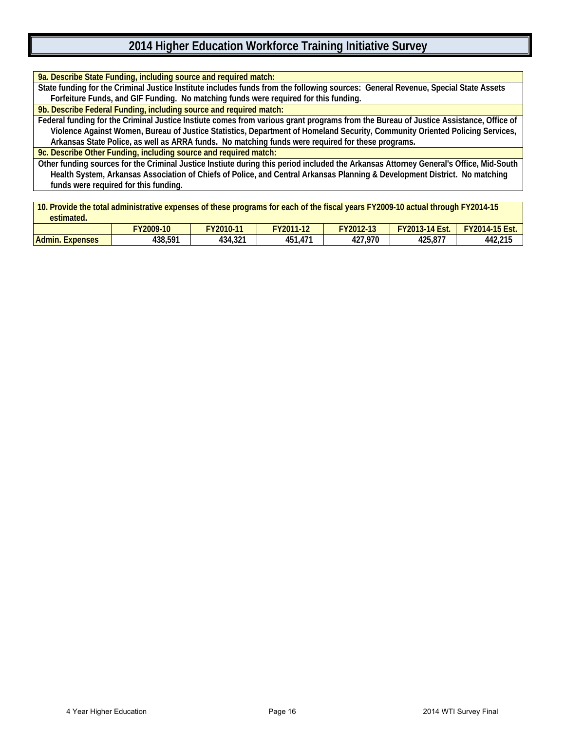| 9a. Describe State Funding, including source and required match:                                                                      |
|---------------------------------------------------------------------------------------------------------------------------------------|
| State funding for the Criminal Justice Institute includes funds from the following sources: General Revenue, Special State Assets     |
| Forfeiture Funds, and GIF Funding. No matching funds were required for this funding.                                                  |
| 9b. Describe Federal Funding, including source and required match:                                                                    |
| Federal funding for the Criminal Justice Instiute comes from various grant programs from the Bureau of Justice Assistance, Office of  |
| Violence Against Women, Bureau of Justice Statistics, Department of Homeland Security, Community Oriented Policing Services,          |
| Arkansas State Police, as well as ARRA funds. No matching funds were required for these programs.                                     |
| 9c. Describe Other Funding, including source and required match:                                                                      |
| Other funding sources for the Criminal Justice Instiute during this period included the Arkansas Attorney General's Office, Mid-South |
| Health System, Arkansas Association of Chiefs of Police, and Central Arkansas Planning & Development District. No matching            |
| funds were required for this funding.                                                                                                 |
|                                                                                                                                       |
| 10. Provide the total administrative expenses of these programs for each of the fiscal years FY2009-10 actual through FY2014-15       |

| estimated.                |              | -         |           |           |                       |                       |
|---------------------------|--------------|-----------|-----------|-----------|-----------------------|-----------------------|
|                           | $7$ Y2009-10 | FY2010-11 | FY2011-12 | FY2012-13 | <b>FY2013-14 Est.</b> | <b>FY2014-15 Est.</b> |
| Admin.<br><b>Expenses</b> | 438,591      | 434,321   | 451.471   | 427,970   | 425.877               | 442,215               |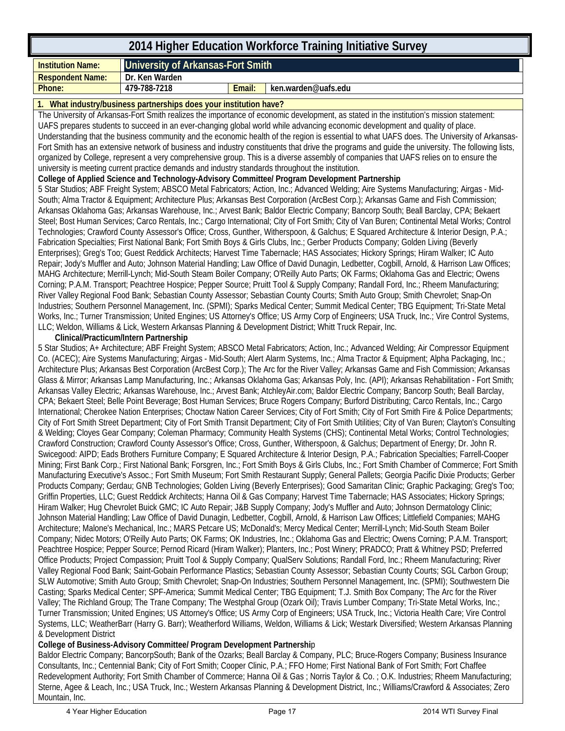| 2014 Higher Education Workforce Training Initiative Survey         |                                   |        |                     |  |  |  |
|--------------------------------------------------------------------|-----------------------------------|--------|---------------------|--|--|--|
| <b>Institution Name:</b>                                           | University of Arkansas-Fort Smith |        |                     |  |  |  |
| <b>Respondent Name:</b>                                            | Dr. Ken Warden                    |        |                     |  |  |  |
| Phone:                                                             | 479-788-7218                      | Email: | ken.warden@uafs.edu |  |  |  |
| 1. What industry/business partnerships does your institution have? |                                   |        |                     |  |  |  |

#### The University of Arkansas-Fort Smith realizes the importance of economic development, as stated in the institution's mission statement: UAFS prepares students to succeed in an ever-changing global world while advancing economic development and quality of place. Understanding that the business community and the economic health of the region is essential to what UAFS does. The University of Arkansas-Fort Smith has an extensive network of business and industry constituents that drive the programs and guide the university. The following lists, organized by College, represent a very comprehensive group. This is a diverse assembly of companies that UAFS relies on to ensure the university is meeting current practice demands and industry standards throughout the institution.

**College of Applied Science and Technology-Advisory Committee/ Program Development Partnership**

5 Star Studios; ABF Freight System; ABSCO Metal Fabricators; Action, Inc.; Advanced Welding; Aire Systems Manufacturing; Airgas - Mid-South; Alma Tractor & Equipment; Architecture Plus; Arkansas Best Corporation (ArcBest Corp.); Arkansas Game and Fish Commission; Arkansas Oklahoma Gas; Arkansas Warehouse, Inc.; Arvest Bank; Baldor Electric Company; Bancorp South; Beall Barclay, CPA; Bekaert Steel; Bost Human Services; Carco Rentals, Inc.; Cargo International; City of Fort Smith; City of Van Buren; Continental Metal Works; Control Technologies; Crawford County Assessor's Office; Cross, Gunther, Witherspoon, & Galchus; E Squared Architecture & Interior Design, P.A.; Fabrication Specialties; First National Bank; Fort Smith Boys & Girls Clubs, Inc.; Gerber Products Company; Golden Living (Beverly Enterprises); Greg's Too; Guest Reddick Architects; Harvest Time Tabernacle; HAS Associates; Hickory Springs; Hiram Walker; IC Auto Repair; Jody's Muffler and Auto; Johnson Material Handling; Law Office of David Dunagin, Ledbetter, Cogbill, Arnold, & Harrison Law Offices; MAHG Architecture; Merrill-Lynch; Mid-South Steam Boiler Company; O'Reilly Auto Parts; OK Farms; Oklahoma Gas and Electric; Owens Corning; P.A.M. Transport; Peachtree Hospice; Pepper Source; Pruitt Tool & Supply Company; Randall Ford, Inc.; Rheem Manufacturing; River Valley Regional Food Bank; Sebastian County Assessor; Sebastian County Courts; Smith Auto Group; Smith Chevrolet; Snap-On Industries; Southern Personnel Management, Inc. (SPMI); Sparks Medical Center; Summit Medical Center; TBG Equipment; Tri-State Metal Works, Inc.; Turner Transmission; United Engines; US Attorney's Office; US Army Corp of Engineers; USA Truck, Inc.; Vire Control Systems, LLC; Weldon, Williams & Lick, Western Arkansas Planning & Development District; Whitt Truck Repair, Inc.

#### **Clinical/Practicum/Intern Partnership**

5 Star Studios; A+ Architecture; ABF Freight System; ABSCO Metal Fabricators; Action, Inc.; Advanced Welding; Air Compressor Equipment Co. (ACEC); Aire Systems Manufacturing; Airgas - Mid-South; Alert Alarm Systems, Inc.; Alma Tractor & Equipment; Alpha Packaging, Inc.; Architecture Plus; Arkansas Best Corporation (ArcBest Corp.); The Arc for the River Valley; Arkansas Game and Fish Commission; Arkansas Glass & Mirror; Arkansas Lamp Manufacturing, Inc.; Arkansas Oklahoma Gas; Arkansas Poly, Inc. (API); Arkansas Rehabilitation - Fort Smith; Arkansas Valley Electric; Arkansas Warehouse, Inc.; Arvest Bank; AtchleyAir.com; Baldor Electric Company; Bancorp South; Beall Barclay, CPA; Bekaert Steel; Belle Point Beverage; Bost Human Services; Bruce Rogers Company; Burford Distributing; Carco Rentals, Inc.; Cargo International; Cherokee Nation Enterprises; Choctaw Nation Career Services; City of Fort Smith; City of Fort Smith Fire & Police Departments; City of Fort Smith Street Department; City of Fort Smith Transit Department; City of Fort Smith Utilities; City of Van Buren; Clayton's Consulting & Welding; Cloyes Gear Company; Coleman Pharmacy; Community Health Systems (CHS); Continental Metal Works; Control Technologies; Crawford Construction; Crawford County Assessor's Office; Cross, Gunther, Witherspoon, & Galchus; Department of Energy; Dr. John R. Swicegood: AIPD; Eads Brothers Furniture Company; E Squared Architecture & Interior Design, P.A.; Fabrication Specialties; Farrell-Cooper Mining; First Bank Corp.; First National Bank; Forsgren, Inc.; Fort Smith Boys & Girls Clubs, Inc.; Fort Smith Chamber of Commerce; Fort Smith Manufacturing Executive's Assoc.; Fort Smith Museum; Fort Smith Restaurant Supply; General Pallets; Georgia Pacific Dixie Products; Gerber Products Company; Gerdau; GNB Technologies; Golden Living (Beverly Enterprises); Good Samaritan Clinic; Graphic Packaging; Greg's Too; Griffin Properties, LLC; Guest Reddick Architects; Hanna Oil & Gas Company; Harvest Time Tabernacle; HAS Associates; Hickory Springs; Hiram Walker; Hug Chevrolet Buick GMC; IC Auto Repair; J&B Supply Company; Jody's Muffler and Auto; Johnson Dermatology Clinic; Johnson Material Handling; Law Office of David Dunagin, Ledbetter, Cogbill, Arnold, & Harrison Law Offices; Littlefield Companies; MAHG Architecture; Malone's Mechanical, Inc.; MARS Petcare US; McDonald's; Mercy Medical Center; Merrill-Lynch; Mid-South Steam Boiler Company; Nidec Motors; O'Reilly Auto Parts; OK Farms; OK Industries, Inc.; Oklahoma Gas and Electric; Owens Corning; P.A.M. Transport; Peachtree Hospice; Pepper Source; Pernod Ricard (Hiram Walker); Planters, Inc.; Post Winery; PRADCO; Pratt & Whitney PSD; Preferred Office Products; Project Compassion; Pruitt Tool & Supply Company; QualServ Solutions; Randall Ford, Inc.; Rheem Manufacturing; River Valley Regional Food Bank; Saint-Gobain Performance Plastics; Sebastian County Assessor; Sebastian County Courts; SGL Carbon Group; SLW Automotive; Smith Auto Group; Smith Chevrolet; Snap-On Industries; Southern Personnel Management, Inc. (SPMI); Southwestern Die Casting; Sparks Medical Center; SPF-America; Summit Medical Center; TBG Equipment; T.J. Smith Box Company; The Arc for the River Valley; The Richland Group; The Trane Company; The Westphal Group (Ozark Oil); Travis Lumber Company; Tri-State Metal Works, Inc.; Turner Transmission; United Engines; US Attorney's Office; US Army Corp of Engineers; USA Truck, Inc.; Victoria Health Care; Vire Control Systems, LLC; WeatherBarr (Harry G. Barr); Weatherford Williams, Weldon, Williams & Lick; Westark Diversified; Western Arkansas Planning & Development District

#### **College of Business-Advisory Committee/ Program Development Partnershi**p

Baldor Electric Company; BancorpSouth; Bank of the Ozarks; Beall Barclay & Company, PLC; Bruce-Rogers Company; Business Insurance Consultants, Inc.; Centennial Bank; City of Fort Smith; Cooper Clinic, P.A.; FFO Home; First National Bank of Fort Smith; Fort Chaffee Redevelopment Authority; Fort Smith Chamber of Commerce; Hanna Oil & Gas ; Norris Taylor & Co. ; O.K. Industries; Rheem Manufacturing; Sterne, Agee & Leach, Inc.; USA Truck, Inc.; Western Arkansas Planning & Development District, Inc.; Williams/Crawford & Associates; Zero Mountain, Inc.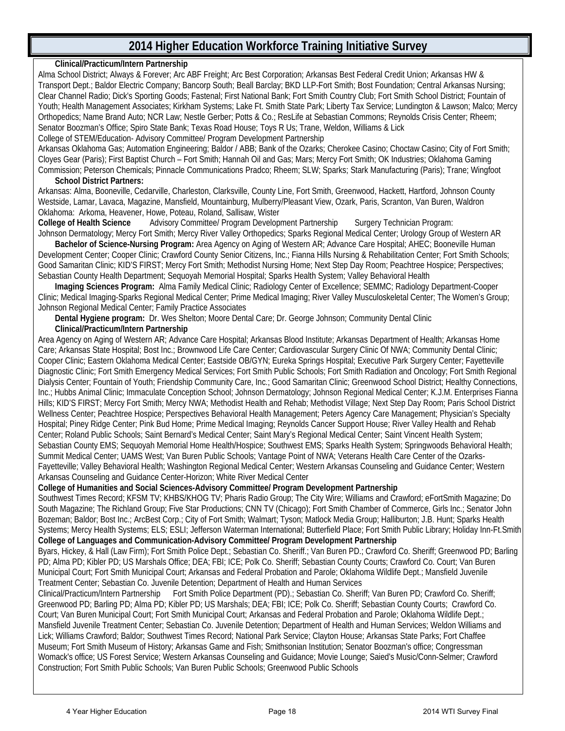#### **Clinical/Practicum/Intern Partnership**

Alma School District; Always & Forever; Arc ABF Freight; Arc Best Corporation; Arkansas Best Federal Credit Union; Arkansas HW & Transport Dept.; Baldor Electric Company; Bancorp South; Beall Barclay; BKD LLP-Fort Smith; Bost Foundation; Central Arkansas Nursing; Clear Channel Radio; Dick's Sporting Goods; Fastenal; First National Bank; Fort Smith Country Club; Fort Smith School District; Fountain of Youth; Health Management Associates; Kirkham Systems; Lake Ft. Smith State Park; Liberty Tax Service; Lundington & Lawson; Malco; Mercy Orthopedics; Name Brand Auto; NCR Law; Nestle Gerber; Potts & Co.; ResLife at Sebastian Commons; Reynolds Crisis Center; Rheem; Senator Boozman's Office; Spiro State Bank; Texas Road House; Toys R Us; Trane, Weldon, Williams & Lick

College of STEM/Education- Advisory Committee/ Program Development Partnership

Arkansas Oklahoma Gas; Automation Engineering; Baldor / ABB; Bank of the Ozarks; Cherokee Casino; Choctaw Casino; City of Fort Smith; Cloyes Gear (Paris); First Baptist Church – Fort Smith; Hannah Oil and Gas; Mars; Mercy Fort Smith; OK Industries; Oklahoma Gaming Commission; Peterson Chemicals; Pinnacle Communications Pradco; Rheem; SLW; Sparks; Stark Manufacturing (Paris); Trane; Wingfoot

#### **School District Partners:**

Arkansas: Alma, Booneville, Cedarville, Charleston, Clarksville, County Line, Fort Smith, Greenwood, Hackett, Hartford, Johnson County Westside, Lamar, Lavaca, Magazine, Mansfield, Mountainburg, Mulberry/Pleasant View, Ozark, Paris, Scranton, Van Buren, Waldron Oklahoma: Arkoma, Heavener, Howe, Poteau, Roland, Sallisaw, Wister

Advisory Committee/ Program Development Partnership Surgery Technician Program: Johnson Dermatology; Mercy Fort Smith; Mercy River Valley Orthopedics; Sparks Regional Medical Center; Urology Group of Western AR

 **Bachelor of Science-Nursing Program:** Area Agency on Aging of Western AR; Advance Care Hospital; AHEC; Booneville Human Development Center; Cooper Clinic; Crawford County Senior Citizens, Inc.; Fianna Hills Nursing & Rehabilitation Center; Fort Smith Schools; Good Samaritan Clinic; KID'S FIRST; Mercy Fort Smith; Methodist Nursing Home; Next Step Day Room; Peachtree Hospice; Perspectives; Sebastian County Health Department; Sequoyah Memorial Hospital; Sparks Health System; Valley Behavioral Health

 **Imaging Sciences Program:** Alma Family Medical Clinic; Radiology Center of Excellence; SEMMC; Radiology Department-Cooper Clinic; Medical Imaging-Sparks Regional Medical Center; Prime Medical Imaging; River Valley Musculoskeletal Center; The Women's Group; Johnson Regional Medical Center; Family Practice Associates

**Dental Hygiene program:** Dr. Wes Shelton; Moore Dental Care; Dr. George Johnson; Community Dental Clinic

#### **Clinical/Practicum/Intern Partnership**

Area Agency on Aging of Western AR; Advance Care Hospital; Arkansas Blood Institute; Arkansas Department of Health; Arkansas Home Care; Arkansas State Hospital; Bost Inc.; Brownwood Life Care Center; Cardiovascular Surgery Clinic Of NWA; Community Dental Clinic; Cooper Clinic; Eastern Oklahoma Medical Center; Eastside OB/GYN; Eureka Springs Hospital; Executive Park Surgery Center; Fayetteville Diagnostic Clinic; Fort Smith Emergency Medical Services; Fort Smith Public Schools; Fort Smith Radiation and Oncology; Fort Smith Regional Dialysis Center; Fountain of Youth; Friendship Community Care, Inc.; Good Samaritan Clinic; Greenwood School District; Healthy Connections, Inc.; Hubbs Animal Clinic; Immaculate Conception School; Johnson Dermatology; Johnson Regional Medical Center; K.J.M. Enterprises Fianna Hills; KID'S FIRST; Mercy Fort Smith; Mercy NWA; Methodist Health and Rehab; Methodist Village; Next Step Day Room; Paris School District Wellness Center; Peachtree Hospice; Perspectives Behavioral Health Management; Peters Agency Care Management; Physician's Specialty Hospital; Piney Ridge Center; Pink Bud Home; Prime Medical Imaging; Reynolds Cancer Support House; River Valley Health and Rehab Center; Roland Public Schools; Saint Bernard's Medical Center; Saint Mary's Regional Medical Center; Saint Vincent Health System; Sebastian County EMS; Sequoyah Memorial Home Health/Hospice; Southwest EMS; Sparks Health System; Springwoods Behavioral Health; Summit Medical Center; UAMS West; Van Buren Public Schools; Vantage Point of NWA; Veterans Health Care Center of the Ozarks-Fayetteville; Valley Behavioral Health; Washington Regional Medical Center; Western Arkansas Counseling and Guidance Center; Western Arkansas Counseling and Guidance Center-Horizon; White River Medical Center

**College of Humanities and Social Sciences-Advisory Committee/ Program Development Partnership**

Southwest Times Record; KFSM TV; KHBS/KHOG TV; Pharis Radio Group; The City Wire; Williams and Crawford; eFortSmith Magazine; Do South Magazine; The Richland Group; Five Star Productions; CNN TV (Chicago); Fort Smith Chamber of Commerce, Girls Inc.; Senator John Bozeman; Baldor; Bost Inc.; ArcBest Corp.; City of Fort Smith; Walmart; Tyson; Matlock Media Group; Halliburton; J.B. Hunt; Sparks Health Systems; Mercy Health Systems; ELS; ESLI; Jefferson Waterman International; Butterfield Place; Fort Smith Public Library; Holiday Inn-Ft.Smith **College of Languages and Communication-Advisory Committee/ Program Development Partnership**

Byars, Hickey, & Hall (Law Firm); Fort Smith Police Dept.; Sebastian Co. Sheriff.; Van Buren PD.; Crawford Co. Sheriff; Greenwood PD; Barling PD; Alma PD; Kibler PD; US Marshals Office; DEA; FBI; ICE; Polk Co. Sheriff; Sebastian County Courts; Crawford Co. Court; Van Buren Municipal Court; Fort Smith Municipal Court; Arkansas and Federal Probation and Parole; Oklahoma Wildlife Dept.; Mansfield Juvenile Treatment Center; Sebastian Co. Juvenile Detention; Department of Health and Human Services

Clinical/Practicum/Intern Partnership Fort Smith Police Department (PD).; Sebastian Co. Sheriff; Van Buren PD; Crawford Co. Sheriff; Greenwood PD; Barling PD; Alma PD; Kibler PD; US Marshals; DEA; FBI; ICE; Polk Co. Sheriff; Sebastian County Courts; Crawford Co. Court; Van Buren Municipal Court; Fort Smith Municipal Court; Arkansas and Federal Probation and Parole; Oklahoma Wildlife Dept.; Mansfield Juvenile Treatment Center; Sebastian Co. Juvenile Detention; Department of Health and Human Services; Weldon Williams and Lick; Williams Crawford; Baldor; Southwest Times Record; National Park Service; Clayton House; Arkansas State Parks; Fort Chaffee Museum; Fort Smith Museum of History; Arkansas Game and Fish; Smithsonian Institution; Senator Boozman's office; Congressman Womack's office; US Forest Service; Western Arkansas Counseling and Guidance; Movie Lounge; Saied's Music/Conn-Selmer; Crawford Construction; Fort Smith Public Schools; Van Buren Public Schools; Greenwood Public Schools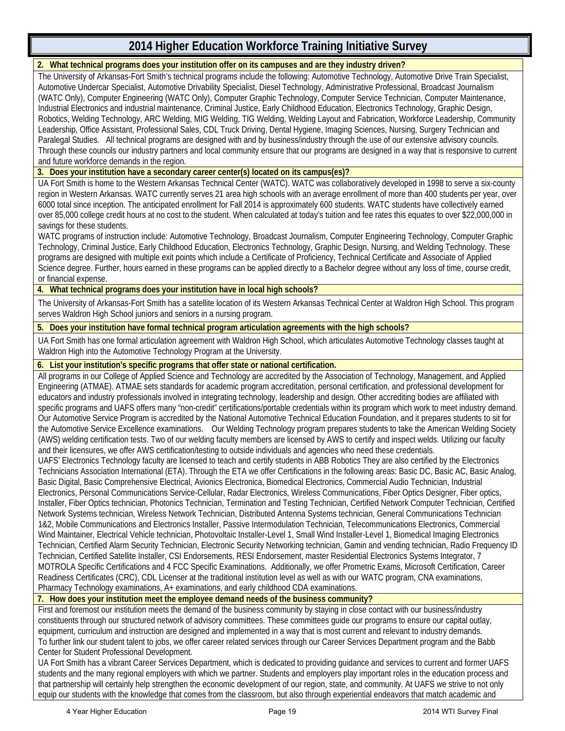#### **2. What technical programs does your institution offer on its campuses and are they industry driven?**

The University of Arkansas-Fort Smith's technical programs include the following: Automotive Technology, Automotive Drive Train Specialist, Automotive Undercar Specialist, Automotive Drivability Specialist, Diesel Technology, Administrative Professional, Broadcast Journalism (WATC Only), Computer Engineering (WATC Only), Computer Graphic Technology, Computer Service Technician, Computer Maintenance, Industrial Electronics and industrial maintenance, Criminal Justice, Early Childhood Education, Electronics Technology, Graphic Design, Robotics, Welding Technology, ARC Welding, MIG Welding, TIG Welding, Welding Layout and Fabrication, Workforce Leadership, Community Leadership, Office Assistant, Professional Sales, CDL Truck Driving, Dental Hygiene, Imaging Sciences, Nursing, Surgery Technician and Paralegal Studies. All technical programs are designed with and by business/industry through the use of our extensive advisory councils. Through these councils our industry partners and local community ensure that our programs are designed in a way that is responsive to current and future workforce demands in the region.

**3. Does your institution have a secondary career center(s) located on its campus(es)?**

UA Fort Smith is home to the Western Arkansas Technical Center (WATC). WATC was collaboratively developed in 1998 to serve a six-county region in Western Arkansas. WATC currently serves 21 area high schools with an average enrollment of more than 400 students per year, over 6000 total since inception. The anticipated enrollment for Fall 2014 is approximately 600 students. WATC students have collectively earned over 85,000 college credit hours at no cost to the student. When calculated at today's tuition and fee rates this equates to over \$22,000,000 in savings for these students.

WATC programs of instruction include: Automotive Technology, Broadcast Journalism, Computer Engineering Technology, Computer Graphic Technology, Criminal Justice, Early Childhood Education, Electronics Technology, Graphic Design, Nursing, and Welding Technology. These programs are designed with multiple exit points which include a Certificate of Proficiency, Technical Certificate and Associate of Applied Science degree. Further, hours earned in these programs can be applied directly to a Bachelor degree without any loss of time, course credit, or financial expense.

**4. What technical programs does your institution have in local high schools?**

The University of Arkansas-Fort Smith has a satellite location of its Western Arkansas Technical Center at Waldron High School. This program serves Waldron High School juniors and seniors in a nursing program.

**5. Does your institution have formal technical program articulation agreements with the high schools?**

UA Fort Smith has one formal articulation agreement with Waldron High School, which articulates Automotive Technology classes taught at Waldron High into the Automotive Technology Program at the University.

#### **6. List your institution's specific programs that offer state or national certification.**

All programs in our College of Applied Science and Technology are accredited by the Association of Technology, Management, and Applied Engineering (ATMAE). ATMAE sets standards for academic program accreditation, personal certification, and professional development for educators and industry professionals involved in integrating technology, leadership and design. Other accrediting bodies are affiliated with specific programs and UAFS offers many "non-credit" certifications/portable credentials within its program which work to meet industry demand. Our Automotive Service Program is accredited by the National Automotive Technical Education Foundation, and it prepares students to sit for the Automotive Service Excellence examinations. Our Welding Technology program prepares students to take the American Welding Society (AWS) welding certification tests. Two of our welding faculty members are licensed by AWS to certify and inspect welds. Utilizing our faculty and their licensures, we offer AWS certification/testing to outside individuals and agencies who need these credentials.

UAFS' Electronics Technology faculty are licensed to teach and certify students in ABB Robotics They are also certified by the Electronics Technicians Association International (ETA). Through the ETA we offer Certifications in the following areas: Basic DC, Basic AC, Basic Analog, Basic Digital, Basic Comprehensive Electrical, Avionics Electronica, Biomedical Electronics, Commercial Audio Technician, Industrial Electronics, Personal Communications Service-Cellular, Radar Electronics, Wireless Communications, Fiber Optics Designer, Fiber optics, Installer, Fiber Optics technician, Photonics Technician, Termination and Testing Technician, Certified Network Computer Technician, Certified Network Systems technician, Wireless Network Technician, Distributed Antenna Systems technician, General Communications Technician 1&2, Mobile Communications and Electronics Installer, Passive Intermodulation Technician, Telecommunications Electronics, Commercial Wind Maintainer, Electrical Vehicle technician, Photovoltaic Installer-Level 1, Small Wind Installer-Level 1, Biomedical Imaging Electronics Technician, Certified Alarm Security Technician, Electronic Security Networking technician, Gamin and vending technician, Radio Frequency ID Technician, Certified Satellite Installer, CSI Endorsements, RESI Endorsement, master Residential Electronics Systems Integrator, 7 MOTROLA Specific Certifications and 4 FCC Specific Examinations. Additionally, we offer Prometric Exams, Microsoft Certification, Career Readiness Certificates (CRC), CDL Licenser at the traditional institution level as well as with our WATC program, CNA examinations, Pharmacy Technology examinations, A+ examinations, and early childhood CDA examinations.

**7. How does your institution meet the employee demand needs of the business community?**

First and foremost our institution meets the demand of the business community by staying in close contact with our business/industry constituents through our structured network of advisory committees. These committees guide our programs to ensure our capital outlay, equipment, curriculum and instruction are designed and implemented in a way that is most current and relevant to industry demands. To further link our student talent to jobs, we offer career related services through our Career Services Department program and the Babb Center for Student Professional Development.

UA Fort Smith has a vibrant Career Services Department, which is dedicated to providing guidance and services to current and former UAFS students and the many regional employers with which we partner. Students and employers play important roles in the education process and that partnership will certainly help strengthen the economic development of our region, state, and community. At UAFS we strive to not only equip our students with the knowledge that comes from the classroom, but also through experiential endeavors that match academic and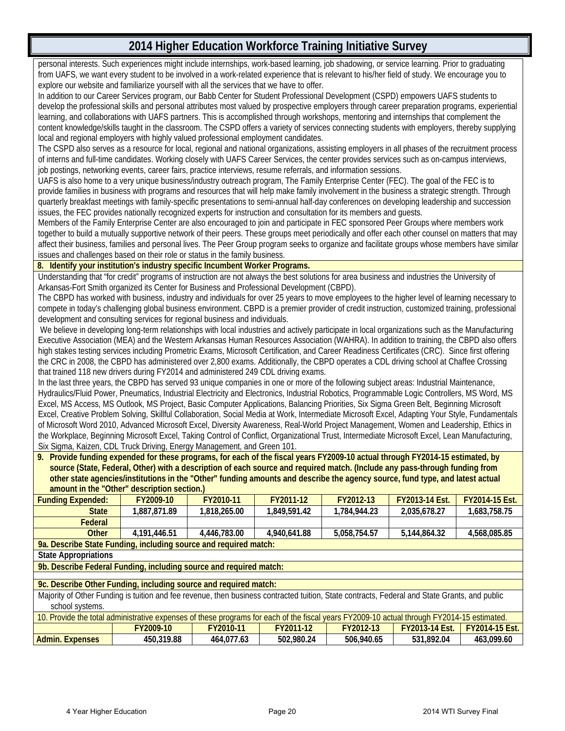personal interests. Such experiences might include internships, work-based learning, job shadowing, or service learning. Prior to graduating from UAFS, we want every student to be involved in a work-related experience that is relevant to his/her field of study. We encourage you to explore our website and familiarize yourself with all the services that we have to offer.

In addition to our Career Services program, our Babb Center for Student Professional Development (CSPD) empowers UAFS students to develop the professional skills and personal attributes most valued by prospective employers through career preparation programs, experiential learning, and collaborations with UAFS partners. This is accomplished through workshops, mentoring and internships that complement the content knowledge/skills taught in the classroom. The CSPD offers a variety of services connecting students with employers, thereby supplying local and regional employers with highly valued professional employment candidates.

The CSPD also serves as a resource for local, regional and national organizations, assisting employers in all phases of the recruitment process of interns and full-time candidates. Working closely with UAFS Career Services, the center provides services such as on-campus interviews, job postings, networking events, career fairs, practice interviews, resume referrals, and information sessions.

UAFS is also home to a very unique business/industry outreach program, The Family Enterprise Center (FEC). The goal of the FEC is to provide families in business with programs and resources that will help make family involvement in the business a strategic strength. Through quarterly breakfast meetings with family-specific presentations to semi-annual half-day conferences on developing leadership and succession issues, the FEC provides nationally recognized experts for instruction and consultation for its members and guests.

Members of the Family Enterprise Center are also encouraged to join and participate in FEC sponsored Peer Groups where members work together to build a mutually supportive network of their peers. These groups meet periodically and offer each other counsel on matters that may affect their business, families and personal lives. The Peer Group program seeks to organize and facilitate groups whose members have similar issues and challenges based on their role or status in the family business.

#### **8. Identify your institution's industry specific Incumbent Worker Programs.**

Understanding that "for credit" programs of instruction are not always the best solutions for area business and industries the University of Arkansas-Fort Smith organized its Center for Business and Professional Development (CBPD).

The CBPD has worked with business, industry and individuals for over 25 years to move employees to the higher level of learning necessary to compete in today's challenging global business environment. CBPD is a premier provider of credit instruction, customized training, professional development and consulting services for regional business and individuals.

We believe in developing long-term relationships with local industries and actively participate in local organizations such as the Manufacturing Executive Association (MEA) and the Western Arkansas Human Resources Association (WAHRA). In addition to training, the CBPD also offers high stakes testing services including Prometric Exams, Microsoft Certification, and Career Readiness Certificates (CRC). Since first offering the CRC in 2008, the CBPD has administered over 2,800 exams. Additionally, the CBPD operates a CDL driving school at Chaffee Crossing that trained 118 new drivers during FY2014 and administered 249 CDL driving exams.

In the last three years, the CBPD has served 93 unique companies in one or more of the following subject areas: Industrial Maintenance, Hydraulics/Fluid Power, Pneumatics, Industrial Electricity and Electronics, Industrial Robotics, Programmable Logic Controllers, MS Word, MS Excel, MS Access, MS Outlook, MS Project, Basic Computer Applications, Balancing Priorities, Six Sigma Green Belt, Beginning Microsoft Excel, Creative Problem Solving, Skillful Collaboration, Social Media at Work, Intermediate Microsoft Excel, Adapting Your Style, Fundamentals of Microsoft Word 2010, Advanced Microsoft Excel, Diversity Awareness, Real-World Project Management, Women and Leadership, Ethics in the Workplace, Beginning Microsoft Excel, Taking Control of Conflict, Organizational Trust, Intermediate Microsoft Excel, Lean Manufacturing, Six Sigma, Kaizen, CDL Truck Driving, Energy Management, and Green 101.

**9. Provide funding expended for these programs, for each of the fiscal years FY2009-10 actual through FY2014-15 estimated, by source (State, Federal, Other) with a description of each source and required match. (Include any pass-through funding from other state agencies/institutions in the "Other" funding amounts and describe the agency source, fund type, and latest actual amount in the "Other" description section.)**

| amount in the Other<br>description section.)                                                                                                  |                                                                    |              |              |              |                       |                       |  |  |
|-----------------------------------------------------------------------------------------------------------------------------------------------|--------------------------------------------------------------------|--------------|--------------|--------------|-----------------------|-----------------------|--|--|
| <b>Funding Expended:</b>                                                                                                                      | FY2009-10                                                          | FY2010-11    | FY2011-12    | FY2012-13    | <b>FY2013-14 Est.</b> | <b>FY2014-15 Est.</b> |  |  |
| <b>State</b>                                                                                                                                  | 1,887,871.89                                                       | 1,818,265.00 | 1,849,591.42 | 1,784,944.23 | 2,035,678.27          | 1,683,758.75          |  |  |
| Federal                                                                                                                                       |                                                                    |              |              |              |                       |                       |  |  |
| Other                                                                                                                                         | 4,191,446.51                                                       | 4,446,783.00 | 4,940,641.88 | 5,058,754.57 | 5,144,864.32          | 4,568,085.85          |  |  |
|                                                                                                                                               | 9a. Describe State Funding, including source and required match:   |              |              |              |                       |                       |  |  |
| <b>State Appropriations</b>                                                                                                                   |                                                                    |              |              |              |                       |                       |  |  |
|                                                                                                                                               | 9b. Describe Federal Funding, including source and required match: |              |              |              |                       |                       |  |  |
|                                                                                                                                               |                                                                    |              |              |              |                       |                       |  |  |
|                                                                                                                                               | 9c. Describe Other Funding, including source and required match:   |              |              |              |                       |                       |  |  |
| Majority of Other Funding is tuition and fee revenue, then business contracted tuition, State contracts, Federal and State Grants, and public |                                                                    |              |              |              |                       |                       |  |  |
| school systems.                                                                                                                               |                                                                    |              |              |              |                       |                       |  |  |
| 10. Provide the total administrative expenses of these programs for each of the fiscal years FY2009-10 actual through FY2014-15 estimated.    |                                                                    |              |              |              |                       |                       |  |  |
|                                                                                                                                               | FY2009-10                                                          | FY2010-11    | FY2011-12    | FY2012-13    | <b>FY2013-14 Est.</b> | <b>FY2014-15 Est.</b> |  |  |
| <b>Admin. Expenses</b>                                                                                                                        | 450,319.88                                                         | 464,077.63   | 502.980.24   | 506.940.65   | 531.892.04            | 463.099.60            |  |  |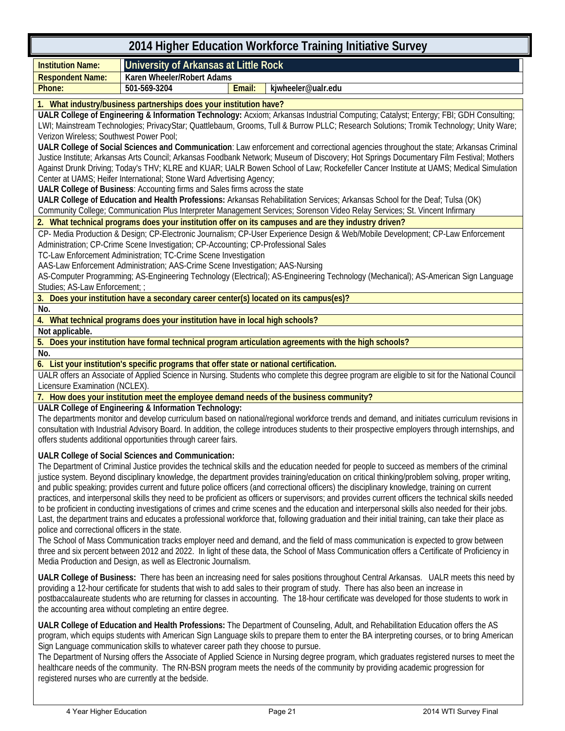#### **2014 Higher Education Workforce Training Initiative Survey Institution Name: University of Arkansas at Little Rock Respondent Name: Karen Wheeler/Robert Adams Phone: 501-569-3204 Email: kjwheeler@ualr.edu 1. What industry/business partnerships does your institution have? UALR College of Engineering & Information Technology:** Acxiom; Arkansas Industrial Computing; Catalyst; Entergy; FBI; GDH Consulting; LWI; Mainstream Technologies; PrivacyStar; Quattlebaum, Grooms, Tull & Burrow PLLC; Research Solutions; Tromik Technology; Unity Ware; Verizon Wireless; Southwest Power Pool; **UALR College of Social Sciences and Communication**: Law enforcement and correctional agencies throughout the state; Arkansas Criminal Justice Institute; Arkansas Arts Council; Arkansas Foodbank Network; Museum of Discovery; Hot Springs Documentary Film Festival; Mothers Against Drunk Driving; Today's THV; KLRE and KUAR; UALR Bowen School of Law; Rockefeller Cancer Institute at UAMS; Medical Simulation Center at UAMS; Heifer International; Stone Ward Advertising Agency; **UALR College of Business**: Accounting firms and Sales firms across the state **UALR College of Education and Health Professions:** Arkansas Rehabilitation Services; Arkansas School for the Deaf; Tulsa (OK) Community College; Communication Plus Interpreter Management Services; Sorenson Video Relay Services; St. Vincent Infirmary **2. What technical programs does your institution offer on its campuses and are they industry driven?** CP- Media Production & Design; CP-Electronic Journalism; CP-User Experience Design & Web/Mobile Development; CP-Law Enforcement Administration; CP-Crime Scene Investigation; CP-Accounting; CP-Professional Sales TC-Law Enforcement Administration; TC-Crime Scene Investigation AAS-Law Enforcement Administration; AAS-Crime Scene Investigation; AAS-Nursing AS-Computer Programming; AS-Engineering Technology (Electrical); AS-Engineering Technology (Mechanical); AS-American Sign Language Studies; AS-Law Enforcement; ; **3. Does your institution have a secondary career center(s) located on its campus(es)? No. 4. What technical programs does your institution have in local high schools? Not applicable. 5. Does your institution have formal technical program articulation agreements with the high schools? No. 6. List your institution's specific programs that offer state or national certification.** UALR offers an Associate of Applied Science in Nursing. Students who complete this degree program are eligible to sit for the National Council Licensure Examination (NCLEX).

**7. How does your institution meet the employee demand needs of the business community?**

**UALR College of Engineering & Information Technology:** 

The departments monitor and develop curriculum based on national/regional workforce trends and demand, and initiates curriculum revisions in consultation with Industrial Advisory Board. In addition, the college introduces students to their prospective employers through internships, and offers students additional opportunities through career fairs.

**UALR College of Social Sciences and Communication:**

The Department of Criminal Justice provides the technical skills and the education needed for people to succeed as members of the criminal justice system. Beyond disciplinary knowledge, the department provides training/education on critical thinking/problem solving, proper writing, and public speaking; provides current and future police officers (and correctional officers) the disciplinary knowledge, training on current practices, and interpersonal skills they need to be proficient as officers or supervisors; and provides current officers the technical skills needed to be proficient in conducting investigations of crimes and crime scenes and the education and interpersonal skills also needed for their jobs. Last, the department trains and educates a professional workforce that, following graduation and their initial training, can take their place as police and correctional officers in the state.

The School of Mass Communication tracks employer need and demand, and the field of mass communication is expected to grow between three and six percent between 2012 and 2022. In light of these data, the School of Mass Communication offers a Certificate of Proficiency in Media Production and Design, as well as Electronic Journalism.

**UALR College of Business:** There has been an increasing need for sales positions throughout Central Arkansas. UALR meets this need by providing a 12-hour certificate for students that wish to add sales to their program of study. There has also been an increase in postbaccalaureate students who are returning for classes in accounting. The 18-hour certificate was developed for those students to work in the accounting area without completing an entire degree.

**UALR College of Education and Health Professions:** The Department of Counseling, Adult, and Rehabilitation Education offers the AS program, which equips students with American Sign Language skils to prepare them to enter the BA interpreting courses, or to bring American Sign Language communication skills to whatever career path they choose to pursue.

The Department of Nursing offers the Associate of Applied Science in Nursing degree program, which graduates registered nurses to meet the healthcare needs of the community. The RN-BSN program meets the needs of the community by providing academic progression for registered nurses who are currently at the bedside.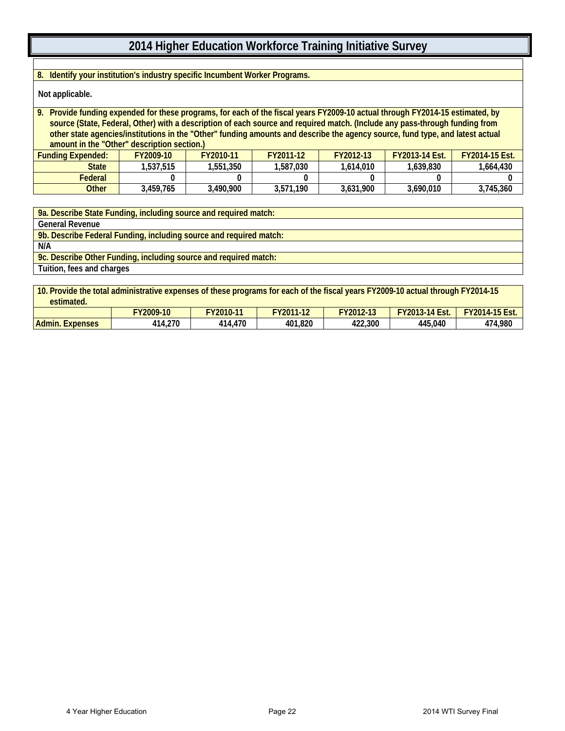**8. Identify your institution's industry specific Incumbent Worker Programs.**

**Not applicable.**

**9. Provide funding expended for these programs, for each of the fiscal years FY2009-10 actual through FY2014-15 estimated, by source (State, Federal, Other) with a description of each source and required match. (Include any pass-through funding from other state agencies/institutions in the "Other" funding amounts and describe the agency source, fund type, and latest actual amount in the "Other" description section.) Funding Expended: FY2009-10 FY2010-11 FY2011-12 FY2012-13 FY2013-14 Est. FY2014-15 Est. State 1,537,515 1,551,350 1,587,030 1,614,010 1,639,830 1,664,430 Federal 0 0 0 0 0 0**

**Other 3,459,765 3,490,900 3,571,190 3,631,900 3,690,010 3,745,360**

**9a. Describe State Funding, including source and required match: General Revenue**

**9b. Describe Federal Funding, including source and required match:**

**N/A**

**9c. Describe Other Funding, including source and required match:**

**Tuition, fees and charges**

**10. Provide the total administrative expenses of these programs for each of the fiscal years FY2009-10 actual through FY2014-15 estimated.**

|                           | $Y2009-10$   | FY2010-11 | $\sqrt{4N}$<br>FY2011- | $Y2012-13$ | Est<br>.14<br><b>FY2013</b><br> | EVOOLL AF<br>г<br>$2014 - 1'$<br>10 E<br>LJU. |
|---------------------------|--------------|-----------|------------------------|------------|---------------------------------|-----------------------------------------------|
| Admin.<br><b>Expenses</b> | 4,270<br>414 | 414,470   | 401,820                | 422,300    | 445,040                         | 474,980                                       |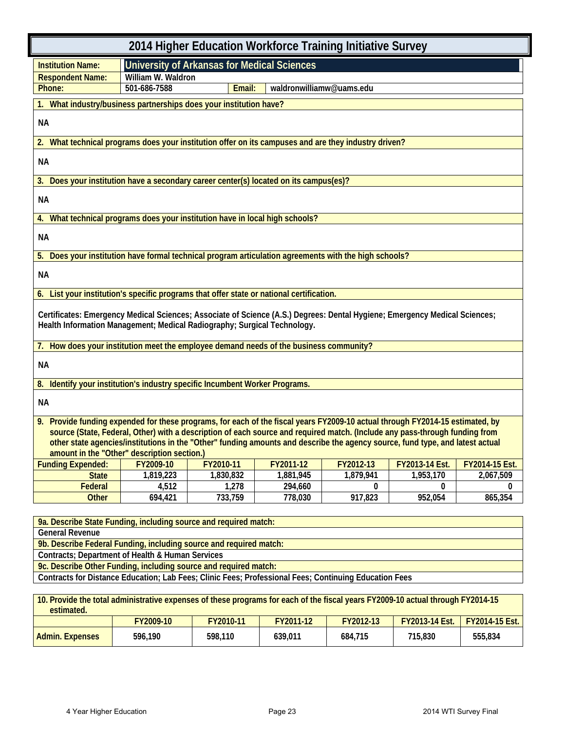| 2014 Higher Education Workforce Training Initiative Survey                                                                                                                                                                                                                                                                                                                                                                                   |                    |                                                    |                          |           |                |                |
|----------------------------------------------------------------------------------------------------------------------------------------------------------------------------------------------------------------------------------------------------------------------------------------------------------------------------------------------------------------------------------------------------------------------------------------------|--------------------|----------------------------------------------------|--------------------------|-----------|----------------|----------------|
| <b>Institution Name:</b>                                                                                                                                                                                                                                                                                                                                                                                                                     |                    | <b>University of Arkansas for Medical Sciences</b> |                          |           |                |                |
| <b>Respondent Name:</b>                                                                                                                                                                                                                                                                                                                                                                                                                      | William W. Waldron |                                                    |                          |           |                |                |
| Phone:                                                                                                                                                                                                                                                                                                                                                                                                                                       | 501-686-7588       | Email:                                             | waldronwilliamw@uams.edu |           |                |                |
| What industry/business partnerships does your institution have?<br>1.                                                                                                                                                                                                                                                                                                                                                                        |                    |                                                    |                          |           |                |                |
| NА                                                                                                                                                                                                                                                                                                                                                                                                                                           |                    |                                                    |                          |           |                |                |
| 2. What technical programs does your institution offer on its campuses and are they industry driven?                                                                                                                                                                                                                                                                                                                                         |                    |                                                    |                          |           |                |                |
| <b>NA</b>                                                                                                                                                                                                                                                                                                                                                                                                                                    |                    |                                                    |                          |           |                |                |
| 3. Does your institution have a secondary career center(s) located on its campus(es)?                                                                                                                                                                                                                                                                                                                                                        |                    |                                                    |                          |           |                |                |
| <b>NA</b>                                                                                                                                                                                                                                                                                                                                                                                                                                    |                    |                                                    |                          |           |                |                |
| 4. What technical programs does your institution have in local high schools?                                                                                                                                                                                                                                                                                                                                                                 |                    |                                                    |                          |           |                |                |
| NА                                                                                                                                                                                                                                                                                                                                                                                                                                           |                    |                                                    |                          |           |                |                |
| 5. Does your institution have formal technical program articulation agreements with the high schools?                                                                                                                                                                                                                                                                                                                                        |                    |                                                    |                          |           |                |                |
| NА                                                                                                                                                                                                                                                                                                                                                                                                                                           |                    |                                                    |                          |           |                |                |
| 6. List your institution's specific programs that offer state or national certification.                                                                                                                                                                                                                                                                                                                                                     |                    |                                                    |                          |           |                |                |
| Certificates: Emergency Medical Sciences; Associate of Science (A.S.) Degrees: Dental Hygiene; Emergency Medical Sciences;<br>Health Information Management; Medical Radiography; Surgical Technology.                                                                                                                                                                                                                                       |                    |                                                    |                          |           |                |                |
| 7. How does your institution meet the employee demand needs of the business community?                                                                                                                                                                                                                                                                                                                                                       |                    |                                                    |                          |           |                |                |
| NА                                                                                                                                                                                                                                                                                                                                                                                                                                           |                    |                                                    |                          |           |                |                |
| 8. Identify your institution's industry specific Incumbent Worker Programs.                                                                                                                                                                                                                                                                                                                                                                  |                    |                                                    |                          |           |                |                |
| <b>NA</b>                                                                                                                                                                                                                                                                                                                                                                                                                                    |                    |                                                    |                          |           |                |                |
| 9. Provide funding expended for these programs, for each of the fiscal years FY2009-10 actual through FY2014-15 estimated, by<br>source (State, Federal, Other) with a description of each source and required match. (Include any pass-through funding from<br>other state agencies/institutions in the "Other" funding amounts and describe the agency source, fund type, and latest actual<br>amount in the "Other" description section.) |                    |                                                    |                          |           |                |                |
| <b>Funding Expended:</b>                                                                                                                                                                                                                                                                                                                                                                                                                     | FY2009-10          | FY2010-11                                          | FY2011-12                | FY2012-13 | FY2013-14 Est. | FY2014-15 Est. |
| <b>State</b>                                                                                                                                                                                                                                                                                                                                                                                                                                 | 1,819,223          | 1,830,832                                          | 1,881,945                | 1,879,941 | 1,953,170      | 2,067,509      |
| Federal                                                                                                                                                                                                                                                                                                                                                                                                                                      | 4,512              | 1,278                                              | 294,660                  | 0         | 0              | 0              |
| <b>Other</b>                                                                                                                                                                                                                                                                                                                                                                                                                                 | 694,421            | 733,759                                            | 778,030                  | 917,823   | 952,054        | 865,354        |
|                                                                                                                                                                                                                                                                                                                                                                                                                                              |                    |                                                    |                          |           |                |                |
| 9a. Describe State Funding, including source and required match:<br><b>General Revenue</b>                                                                                                                                                                                                                                                                                                                                                   |                    |                                                    |                          |           |                |                |
| 9b. Describe Federal Funding, including source and required match:                                                                                                                                                                                                                                                                                                                                                                           |                    |                                                    |                          |           |                |                |
| <b>Contracts; Department of Health &amp; Human Services</b>                                                                                                                                                                                                                                                                                                                                                                                  |                    |                                                    |                          |           |                |                |
| 9c. Describe Other Funding, including source and required match:                                                                                                                                                                                                                                                                                                                                                                             |                    |                                                    |                          |           |                |                |
| Contracts for Distance Education; Lab Fees; Clinic Fees; Professional Fees; Continuing Education Fees                                                                                                                                                                                                                                                                                                                                        |                    |                                                    |                          |           |                |                |
| 10. Provide the total administrative expenses of these programs for each of the fiscal years FY2009-10 actual through FY2014-15                                                                                                                                                                                                                                                                                                              |                    |                                                    |                          |           |                |                |

| estimated.             |                  |           |           |           |                       |                       |
|------------------------|------------------|-----------|-----------|-----------|-----------------------|-----------------------|
|                        | <b>FY2009-10</b> | FY2010-11 | FY2011-12 | FY2012-13 | <b>FY2013-14 Est.</b> | <b>FY2014-15 Est.</b> |
| <b>Admin. Expenses</b> | 596,190          | 598,110   | 639.011   | 684.715   | 715.830               | 555,834               |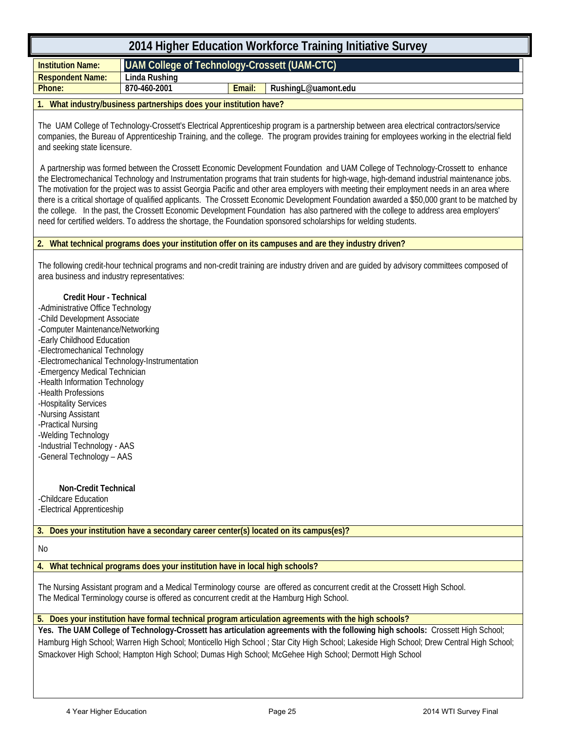| 2014 Higher Education Workforce Training Initiative Survey                                                                                                                                                                                                                                                                                                                                                                                                                                                                                         |                                                                                                                                                                                                                                                                                                                                                                                                                                                                                                                                                                                                                                                                                                                                                                                                                                         |        |                                                                                                                                                                                                                                                                                                                                                                                                                                                                                               |  |  |  |  |  |  |
|----------------------------------------------------------------------------------------------------------------------------------------------------------------------------------------------------------------------------------------------------------------------------------------------------------------------------------------------------------------------------------------------------------------------------------------------------------------------------------------------------------------------------------------------------|-----------------------------------------------------------------------------------------------------------------------------------------------------------------------------------------------------------------------------------------------------------------------------------------------------------------------------------------------------------------------------------------------------------------------------------------------------------------------------------------------------------------------------------------------------------------------------------------------------------------------------------------------------------------------------------------------------------------------------------------------------------------------------------------------------------------------------------------|--------|-----------------------------------------------------------------------------------------------------------------------------------------------------------------------------------------------------------------------------------------------------------------------------------------------------------------------------------------------------------------------------------------------------------------------------------------------------------------------------------------------|--|--|--|--|--|--|
| <b>Institution Name:</b>                                                                                                                                                                                                                                                                                                                                                                                                                                                                                                                           | <b>UAM College of Technology-Crossett (UAM-CTC)</b>                                                                                                                                                                                                                                                                                                                                                                                                                                                                                                                                                                                                                                                                                                                                                                                     |        |                                                                                                                                                                                                                                                                                                                                                                                                                                                                                               |  |  |  |  |  |  |
| <b>Respondent Name:</b><br>Phone:                                                                                                                                                                                                                                                                                                                                                                                                                                                                                                                  | <b>Linda Rushing</b><br>870-460-2001                                                                                                                                                                                                                                                                                                                                                                                                                                                                                                                                                                                                                                                                                                                                                                                                    | Email: | RushingL@uamont.edu                                                                                                                                                                                                                                                                                                                                                                                                                                                                           |  |  |  |  |  |  |
|                                                                                                                                                                                                                                                                                                                                                                                                                                                                                                                                                    |                                                                                                                                                                                                                                                                                                                                                                                                                                                                                                                                                                                                                                                                                                                                                                                                                                         |        |                                                                                                                                                                                                                                                                                                                                                                                                                                                                                               |  |  |  |  |  |  |
|                                                                                                                                                                                                                                                                                                                                                                                                                                                                                                                                                    | 1. What industry/business partnerships does your institution have?                                                                                                                                                                                                                                                                                                                                                                                                                                                                                                                                                                                                                                                                                                                                                                      |        |                                                                                                                                                                                                                                                                                                                                                                                                                                                                                               |  |  |  |  |  |  |
| and seeking state licensure.                                                                                                                                                                                                                                                                                                                                                                                                                                                                                                                       |                                                                                                                                                                                                                                                                                                                                                                                                                                                                                                                                                                                                                                                                                                                                                                                                                                         |        | The UAM College of Technology-Crossett's Electrical Apprenticeship program is a partnership between area electrical contractors/service<br>companies, the Bureau of Apprenticeship Training, and the college. The program provides training for employees working in the electrial field                                                                                                                                                                                                      |  |  |  |  |  |  |
|                                                                                                                                                                                                                                                                                                                                                                                                                                                                                                                                                    | A partnership was formed between the Crossett Economic Development Foundation and UAM College of Technology-Crossett to enhance<br>the Electromechanical Technology and Instrumentation programs that train students for high-wage, high-demand industrial maintenance jobs.<br>The motivation for the project was to assist Georgia Pacific and other area employers with meeting their employment needs in an area where<br>there is a critical shortage of qualified applicants. The Crossett Economic Development Foundation awarded a \$50,000 grant to be matched by<br>the college. In the past, the Crossett Economic Development Foundation has also partnered with the college to address area employers'<br>need for certified welders. To address the shortage, the Foundation sponsored scholarships for welding students. |        |                                                                                                                                                                                                                                                                                                                                                                                                                                                                                               |  |  |  |  |  |  |
|                                                                                                                                                                                                                                                                                                                                                                                                                                                                                                                                                    |                                                                                                                                                                                                                                                                                                                                                                                                                                                                                                                                                                                                                                                                                                                                                                                                                                         |        | 2. What technical programs does your institution offer on its campuses and are they industry driven?                                                                                                                                                                                                                                                                                                                                                                                          |  |  |  |  |  |  |
| area business and industry representatives:<br>Credit Hour - Technical<br>-Administrative Office Technology<br>-Child Development Associate<br>-Computer Maintenance/Networking<br>-Early Childhood Education<br>-Electromechanical Technology<br>-Electromechanical Technology-Instrumentation<br>-Emergency Medical Technician<br>-Health Information Technology<br>-Health Professions<br>-Hospitality Services<br>-Nursing Assistant<br>-Practical Nursing<br>-Welding Technology<br>-Industrial Technology - AAS<br>-General Technology - AAS |                                                                                                                                                                                                                                                                                                                                                                                                                                                                                                                                                                                                                                                                                                                                                                                                                                         |        | The following credit-hour technical programs and non-credit training are industry driven and are guided by advisory committees composed of                                                                                                                                                                                                                                                                                                                                                    |  |  |  |  |  |  |
| <b>Non-Credit Technical</b><br>-Childcare Education                                                                                                                                                                                                                                                                                                                                                                                                                                                                                                |                                                                                                                                                                                                                                                                                                                                                                                                                                                                                                                                                                                                                                                                                                                                                                                                                                         |        |                                                                                                                                                                                                                                                                                                                                                                                                                                                                                               |  |  |  |  |  |  |
| -Electrical Apprenticeship                                                                                                                                                                                                                                                                                                                                                                                                                                                                                                                         |                                                                                                                                                                                                                                                                                                                                                                                                                                                                                                                                                                                                                                                                                                                                                                                                                                         |        |                                                                                                                                                                                                                                                                                                                                                                                                                                                                                               |  |  |  |  |  |  |
|                                                                                                                                                                                                                                                                                                                                                                                                                                                                                                                                                    |                                                                                                                                                                                                                                                                                                                                                                                                                                                                                                                                                                                                                                                                                                                                                                                                                                         |        | 3. Does your institution have a secondary career center(s) located on its campus(es)?                                                                                                                                                                                                                                                                                                                                                                                                         |  |  |  |  |  |  |
| No                                                                                                                                                                                                                                                                                                                                                                                                                                                                                                                                                 |                                                                                                                                                                                                                                                                                                                                                                                                                                                                                                                                                                                                                                                                                                                                                                                                                                         |        |                                                                                                                                                                                                                                                                                                                                                                                                                                                                                               |  |  |  |  |  |  |
|                                                                                                                                                                                                                                                                                                                                                                                                                                                                                                                                                    | 4. What technical programs does your institution have in local high schools?                                                                                                                                                                                                                                                                                                                                                                                                                                                                                                                                                                                                                                                                                                                                                            |        |                                                                                                                                                                                                                                                                                                                                                                                                                                                                                               |  |  |  |  |  |  |
|                                                                                                                                                                                                                                                                                                                                                                                                                                                                                                                                                    |                                                                                                                                                                                                                                                                                                                                                                                                                                                                                                                                                                                                                                                                                                                                                                                                                                         |        | The Nursing Assistant program and a Medical Terminology course are offered as concurrent credit at the Crossett High School.<br>The Medical Terminology course is offered as concurrent credit at the Hamburg High School.                                                                                                                                                                                                                                                                    |  |  |  |  |  |  |
|                                                                                                                                                                                                                                                                                                                                                                                                                                                                                                                                                    |                                                                                                                                                                                                                                                                                                                                                                                                                                                                                                                                                                                                                                                                                                                                                                                                                                         |        | 5. Does your institution have formal technical program articulation agreements with the high schools?<br>Yes. The UAM College of Technology-Crossett has articulation agreements with the following high schools: Crossett High School;<br>Hamburg High School; Warren High School; Monticello High School; Star City High School; Lakeside High School; Drew Central High School;<br>Smackover High School; Hampton High School; Dumas High School; McGehee High School; Dermott High School |  |  |  |  |  |  |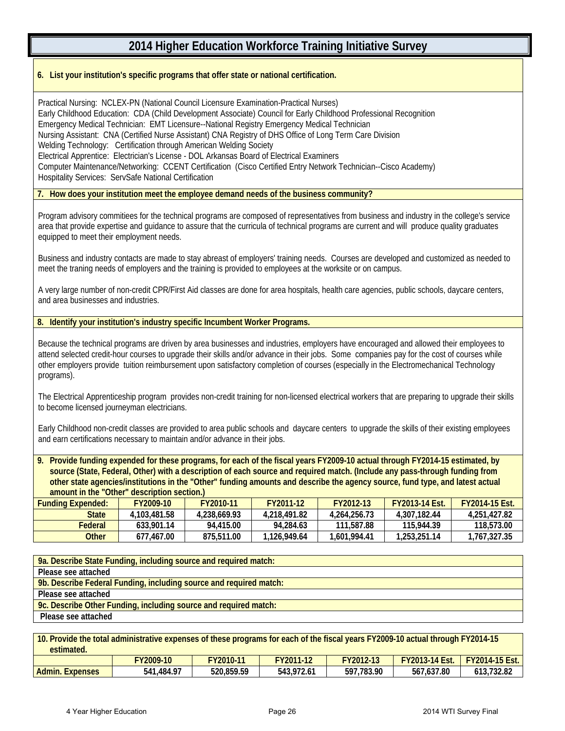#### **6. List your institution's specific programs that offer state or national certification.**

Practical Nursing: NCLEX-PN (National Council Licensure Examination-Practical Nurses) Early Childhood Education: CDA (Child Development Associate) Council for Early Childhood Professional Recognition Emergency Medical Technician: EMT Licensure--National Registry Emergency Medical Technician Nursing Assistant: CNA (Certified Nurse Assistant) CNA Registry of DHS Office of Long Term Care Division Welding Technology: Certification through American Welding Society Electrical Apprentice: Electrician's License - DOL Arkansas Board of Electrical Examiners Computer Maintenance/Networking: CCENT Certification (Cisco Certified Entry Network Technician--Cisco Academy) Hospitality Services: ServSafe National Certification

**7. How does your institution meet the employee demand needs of the business community?**

Program advisory commitiees for the technical programs are composed of representatives from business and industry in the college's service area that provide expertise and guidance to assure that the curricula of technical programs are current and will produce quality graduates equipped to meet their employment needs.

Business and industry contacts are made to stay abreast of employers' training needs. Courses are developed and customized as needed to meet the traning needs of employers and the training is provided to employees at the worksite or on campus.

A very large number of non-credit CPR/First Aid classes are done for area hospitals, health care agencies, public schools, daycare centers, and area businesses and industries.

**8. Identify your institution's industry specific Incumbent Worker Programs.**

 $\overline{\phantom{a}}$ 

Because the technical programs are driven by area businesses and industries, employers have encouraged and allowed their employees to attend selected credit-hour courses to upgrade their skills and/or advance in their jobs. Some companies pay for the cost of courses while other employers provide tuition reimbursement upon satisfactory completion of courses (especially in the Electromechanical Technology programs).

The Electrical Apprenticeship program provides non-credit training for non-licensed electrical workers that are preparing to upgrade their skills to become licensed journeyman electricians.

Early Childhood non-credit classes are provided to area public schools and daycare centers to upgrade the skills of their existing employees and earn certifications necessary to maintain and/or advance in their jobs.

**9. Provide funding expended for these programs, for each of the fiscal years FY2009-10 actual through FY2014-15 estimated, by source (State, Federal, Other) with a description of each source and required match. (Include any pass-through funding from other state agencies/institutions in the "Other" funding amounts and describe the agency source, fund type, and latest actual amount in the "Other" description section.)**

| Funding Expended: | FY2009-10    | FY2010-11    | FY2011-12    | FY2012-13    | <b>FY2013-14 Fst.</b> | <b>FY2014-15 Fst.</b> |  |  |
|-------------------|--------------|--------------|--------------|--------------|-----------------------|-----------------------|--|--|
| State             | 4.103.481.58 | 4.238.669.93 | 4.218.491.82 | 4.264.256.73 | 4.307.182.44          | 4.251.427.82          |  |  |
| Federal           | 633.901.14   | 94.415.00    | 94.284.63    | 111.587.88   | 115.944.39            | 118,573.00            |  |  |
| Other             | 677.467.00   | 875,511.00   | 1.126.949.64 | 1.601.994.41 | 1.253.251.14          | 1.767.327.35          |  |  |

| 9a. Describe State Funding, including source and required match:   |
|--------------------------------------------------------------------|
| Please see attached                                                |
| 9b. Describe Federal Funding, including source and required match: |
| Please see attached                                                |
| 9c. Describe Other Funding, including source and required match:   |
| Please see attached                                                |
|                                                                    |

| 10. Provide the total administrative expenses of these programs for each of the fiscal years FY2009-10 actual through FY2014-15<br>estimated. |            |            |            |            |                                      |            |  |  |
|-----------------------------------------------------------------------------------------------------------------------------------------------|------------|------------|------------|------------|--------------------------------------|------------|--|--|
|                                                                                                                                               | FY2009-10  | FY2010-11  | FY2011-12  | FY2012-13  | <b>FY2013-14 Est. FY2014-15 Est.</b> |            |  |  |
| <b>Admin. Expenses</b>                                                                                                                        | 541,484.97 | 520.859.59 | 543.972.61 | 597.783.90 | 567.637.80                           | 613.732.82 |  |  |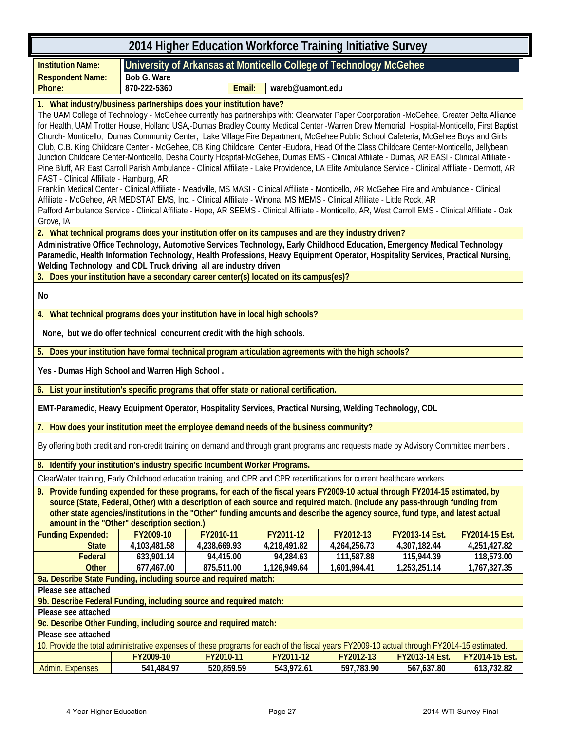| 2014 Higher Education Workforce Training Initiative Survey                                                                                                                                                                                                                                                                                                                                                                                                                                                                                                                                                                                                                                                                                                                                                                                                                                                                                                                                                                                                                                                                                                                                                                                                                                                                                                                                                                |                                                                                                                                            |              |                  |                                                                    |                |                |  |
|---------------------------------------------------------------------------------------------------------------------------------------------------------------------------------------------------------------------------------------------------------------------------------------------------------------------------------------------------------------------------------------------------------------------------------------------------------------------------------------------------------------------------------------------------------------------------------------------------------------------------------------------------------------------------------------------------------------------------------------------------------------------------------------------------------------------------------------------------------------------------------------------------------------------------------------------------------------------------------------------------------------------------------------------------------------------------------------------------------------------------------------------------------------------------------------------------------------------------------------------------------------------------------------------------------------------------------------------------------------------------------------------------------------------------|--------------------------------------------------------------------------------------------------------------------------------------------|--------------|------------------|--------------------------------------------------------------------|----------------|----------------|--|
| <b>Institution Name:</b>                                                                                                                                                                                                                                                                                                                                                                                                                                                                                                                                                                                                                                                                                                                                                                                                                                                                                                                                                                                                                                                                                                                                                                                                                                                                                                                                                                                                  |                                                                                                                                            |              |                  | University of Arkansas at Monticello College of Technology McGehee |                |                |  |
| <b>Respondent Name:</b>                                                                                                                                                                                                                                                                                                                                                                                                                                                                                                                                                                                                                                                                                                                                                                                                                                                                                                                                                                                                                                                                                                                                                                                                                                                                                                                                                                                                   | Bob G. Ware                                                                                                                                |              |                  |                                                                    |                |                |  |
| Phone:                                                                                                                                                                                                                                                                                                                                                                                                                                                                                                                                                                                                                                                                                                                                                                                                                                                                                                                                                                                                                                                                                                                                                                                                                                                                                                                                                                                                                    | 870-222-5360                                                                                                                               | Email:       | wareb@uamont.edu |                                                                    |                |                |  |
|                                                                                                                                                                                                                                                                                                                                                                                                                                                                                                                                                                                                                                                                                                                                                                                                                                                                                                                                                                                                                                                                                                                                                                                                                                                                                                                                                                                                                           |                                                                                                                                            |              |                  |                                                                    |                |                |  |
| 1. What industry/business partnerships does your institution have?<br>The UAM College of Technology - McGehee currently has partnerships with: Clearwater Paper Coorporation -McGehee, Greater Delta Alliance<br>for Health, UAM Trotter House, Holland USA,-Dumas Bradley County Medical Center -Warren Drew Memorial Hospital-Monticello, First Baptist<br>Church-Monticello, Dumas Community Center, Lake Village Fire Department, McGehee Public School Cafeteria, McGehee Boys and Girls<br>Club, C.B. King Childcare Center - McGehee, CB King Childcare Center -Eudora, Head Of the Class Childcare Center-Monticello, Jellybean<br>Junction Childcare Center-Monticello, Desha County Hospital-McGehee, Dumas EMS - Clinical Affiliate - Dumas, AR EASI - Clinical Affiliate -<br>Pine Bluff, AR East Carroll Parish Ambulance - Clinical Affiliate - Lake Providence, LA Elite Ambulance Service - Clinical Affiliate - Dermott, AR<br>FAST - Clinical Affiliate - Hamburg, AR<br>Franklin Medical Center - Clinical Affiliate - Meadville, MS MASI - Clinical Affiliate - Monticello, AR McGehee Fire and Ambulance - Clinical<br>Affiliate - McGehee, AR MEDSTAT EMS, Inc. - Clinical Affiliate - Winona, MS MEMS - Clinical Affiliate - Little Rock, AR<br>Pafford Ambulance Service - Clinical Affiliate - Hope, AR SEEMS - Clinical Affiliate - Monticello, AR, West Carroll EMS - Clinical Affiliate - Oak |                                                                                                                                            |              |                  |                                                                    |                |                |  |
| Grove, IA                                                                                                                                                                                                                                                                                                                                                                                                                                                                                                                                                                                                                                                                                                                                                                                                                                                                                                                                                                                                                                                                                                                                                                                                                                                                                                                                                                                                                 |                                                                                                                                            |              |                  |                                                                    |                |                |  |
| 2. What technical programs does your institution offer on its campuses and are they industry driven?                                                                                                                                                                                                                                                                                                                                                                                                                                                                                                                                                                                                                                                                                                                                                                                                                                                                                                                                                                                                                                                                                                                                                                                                                                                                                                                      |                                                                                                                                            |              |                  |                                                                    |                |                |  |
| Paramedic, Health Information Technology, Health Professions, Heavy Equipment Operator, Hospitality Services, Practical Nursing,<br>Welding Technology and CDL Truck driving all are industry driven                                                                                                                                                                                                                                                                                                                                                                                                                                                                                                                                                                                                                                                                                                                                                                                                                                                                                                                                                                                                                                                                                                                                                                                                                      | Administrative Office Technology, Automotive Services Technology, Early Childhood Education, Emergency Medical Technology                  |              |                  |                                                                    |                |                |  |
| 3. Does your institution have a secondary career center(s) located on its campus(es)?                                                                                                                                                                                                                                                                                                                                                                                                                                                                                                                                                                                                                                                                                                                                                                                                                                                                                                                                                                                                                                                                                                                                                                                                                                                                                                                                     |                                                                                                                                            |              |                  |                                                                    |                |                |  |
| No                                                                                                                                                                                                                                                                                                                                                                                                                                                                                                                                                                                                                                                                                                                                                                                                                                                                                                                                                                                                                                                                                                                                                                                                                                                                                                                                                                                                                        |                                                                                                                                            |              |                  |                                                                    |                |                |  |
| 4. What technical programs does your institution have in local high schools?                                                                                                                                                                                                                                                                                                                                                                                                                                                                                                                                                                                                                                                                                                                                                                                                                                                                                                                                                                                                                                                                                                                                                                                                                                                                                                                                              |                                                                                                                                            |              |                  |                                                                    |                |                |  |
|                                                                                                                                                                                                                                                                                                                                                                                                                                                                                                                                                                                                                                                                                                                                                                                                                                                                                                                                                                                                                                                                                                                                                                                                                                                                                                                                                                                                                           | None, but we do offer technical concurrent credit with the high schools.                                                                   |              |                  |                                                                    |                |                |  |
| 5. Does your institution have formal technical program articulation agreements with the high schools?                                                                                                                                                                                                                                                                                                                                                                                                                                                                                                                                                                                                                                                                                                                                                                                                                                                                                                                                                                                                                                                                                                                                                                                                                                                                                                                     |                                                                                                                                            |              |                  |                                                                    |                |                |  |
| Yes - Dumas High School and Warren High School.                                                                                                                                                                                                                                                                                                                                                                                                                                                                                                                                                                                                                                                                                                                                                                                                                                                                                                                                                                                                                                                                                                                                                                                                                                                                                                                                                                           |                                                                                                                                            |              |                  |                                                                    |                |                |  |
| 6. List your institution's specific programs that offer state or national certification.                                                                                                                                                                                                                                                                                                                                                                                                                                                                                                                                                                                                                                                                                                                                                                                                                                                                                                                                                                                                                                                                                                                                                                                                                                                                                                                                  |                                                                                                                                            |              |                  |                                                                    |                |                |  |
| EMT-Paramedic, Heavy Equipment Operator, Hospitality Services, Practical Nursing, Welding Technology, CDL                                                                                                                                                                                                                                                                                                                                                                                                                                                                                                                                                                                                                                                                                                                                                                                                                                                                                                                                                                                                                                                                                                                                                                                                                                                                                                                 |                                                                                                                                            |              |                  |                                                                    |                |                |  |
| 7. How does your institution meet the employee demand needs of the business community?                                                                                                                                                                                                                                                                                                                                                                                                                                                                                                                                                                                                                                                                                                                                                                                                                                                                                                                                                                                                                                                                                                                                                                                                                                                                                                                                    |                                                                                                                                            |              |                  |                                                                    |                |                |  |
| By offering both credit and non-credit training on demand and through grant programs and requests made by Advisory Committee members.                                                                                                                                                                                                                                                                                                                                                                                                                                                                                                                                                                                                                                                                                                                                                                                                                                                                                                                                                                                                                                                                                                                                                                                                                                                                                     |                                                                                                                                            |              |                  |                                                                    |                |                |  |
| 8. Identify your institution's industry specific Incumbent Worker Programs.                                                                                                                                                                                                                                                                                                                                                                                                                                                                                                                                                                                                                                                                                                                                                                                                                                                                                                                                                                                                                                                                                                                                                                                                                                                                                                                                               |                                                                                                                                            |              |                  |                                                                    |                |                |  |
| ClearWater training, Early Childhood education training, and CPR and CPR recertifications for current healthcare workers.                                                                                                                                                                                                                                                                                                                                                                                                                                                                                                                                                                                                                                                                                                                                                                                                                                                                                                                                                                                                                                                                                                                                                                                                                                                                                                 |                                                                                                                                            |              |                  |                                                                    |                |                |  |
| 9. Provide funding expended for these programs, for each of the fiscal years FY2009-10 actual through FY2014-15 estimated, by<br>source (State, Federal, Other) with a description of each source and required match. (Include any pass-through funding from<br>other state agencies/institutions in the "Other" funding amounts and describe the agency source, fund type, and latest actual<br>amount in the "Other" description section.)                                                                                                                                                                                                                                                                                                                                                                                                                                                                                                                                                                                                                                                                                                                                                                                                                                                                                                                                                                              |                                                                                                                                            |              |                  |                                                                    |                |                |  |
| <b>Funding Expended:</b>                                                                                                                                                                                                                                                                                                                                                                                                                                                                                                                                                                                                                                                                                                                                                                                                                                                                                                                                                                                                                                                                                                                                                                                                                                                                                                                                                                                                  | FY2009-10                                                                                                                                  | FY2010-11    | FY2011-12        | FY2012-13                                                          | FY2013-14 Est. | FY2014-15 Est. |  |
| <b>State</b>                                                                                                                                                                                                                                                                                                                                                                                                                                                                                                                                                                                                                                                                                                                                                                                                                                                                                                                                                                                                                                                                                                                                                                                                                                                                                                                                                                                                              | 4,103,481.58                                                                                                                               | 4,238,669.93 | 4,218,491.82     | 4,264,256.73                                                       | 4,307,182.44   | 4,251,427.82   |  |
| <b>Federal</b>                                                                                                                                                                                                                                                                                                                                                                                                                                                                                                                                                                                                                                                                                                                                                                                                                                                                                                                                                                                                                                                                                                                                                                                                                                                                                                                                                                                                            | 633,901.14                                                                                                                                 | 94,415.00    | 94,284.63        | 111,587.88                                                         | 115,944.39     | 118,573.00     |  |
| <b>Other</b>                                                                                                                                                                                                                                                                                                                                                                                                                                                                                                                                                                                                                                                                                                                                                                                                                                                                                                                                                                                                                                                                                                                                                                                                                                                                                                                                                                                                              | 677,467.00                                                                                                                                 | 875,511.00   | 1,126,949.64     | 1,601,994.41                                                       | 1,253,251.14   | 1,767,327.35   |  |
|                                                                                                                                                                                                                                                                                                                                                                                                                                                                                                                                                                                                                                                                                                                                                                                                                                                                                                                                                                                                                                                                                                                                                                                                                                                                                                                                                                                                                           | 9a. Describe State Funding, including source and required match:                                                                           |              |                  |                                                                    |                |                |  |
| Please see attached                                                                                                                                                                                                                                                                                                                                                                                                                                                                                                                                                                                                                                                                                                                                                                                                                                                                                                                                                                                                                                                                                                                                                                                                                                                                                                                                                                                                       |                                                                                                                                            |              |                  |                                                                    |                |                |  |
|                                                                                                                                                                                                                                                                                                                                                                                                                                                                                                                                                                                                                                                                                                                                                                                                                                                                                                                                                                                                                                                                                                                                                                                                                                                                                                                                                                                                                           | 9b. Describe Federal Funding, including source and required match:                                                                         |              |                  |                                                                    |                |                |  |
| Please see attached                                                                                                                                                                                                                                                                                                                                                                                                                                                                                                                                                                                                                                                                                                                                                                                                                                                                                                                                                                                                                                                                                                                                                                                                                                                                                                                                                                                                       |                                                                                                                                            |              |                  |                                                                    |                |                |  |
| Please see attached                                                                                                                                                                                                                                                                                                                                                                                                                                                                                                                                                                                                                                                                                                                                                                                                                                                                                                                                                                                                                                                                                                                                                                                                                                                                                                                                                                                                       | 9c. Describe Other Funding, including source and required match:                                                                           |              |                  |                                                                    |                |                |  |
|                                                                                                                                                                                                                                                                                                                                                                                                                                                                                                                                                                                                                                                                                                                                                                                                                                                                                                                                                                                                                                                                                                                                                                                                                                                                                                                                                                                                                           | 10. Provide the total administrative expenses of these programs for each of the fiscal years FY2009-10 actual through FY2014-15 estimated. |              |                  |                                                                    |                |                |  |
|                                                                                                                                                                                                                                                                                                                                                                                                                                                                                                                                                                                                                                                                                                                                                                                                                                                                                                                                                                                                                                                                                                                                                                                                                                                                                                                                                                                                                           | FY2009-10                                                                                                                                  | FY2010-11    | FY2011-12        | FY2012-13                                                          | FY2013-14 Est. | FY2014-15 Est. |  |
| <b>Admin. Expenses</b>                                                                                                                                                                                                                                                                                                                                                                                                                                                                                                                                                                                                                                                                                                                                                                                                                                                                                                                                                                                                                                                                                                                                                                                                                                                                                                                                                                                                    | 541,484.97                                                                                                                                 | 520,859.59   | 543,972.61       | 597,783.90                                                         | 567,637.80     | 613,732.82     |  |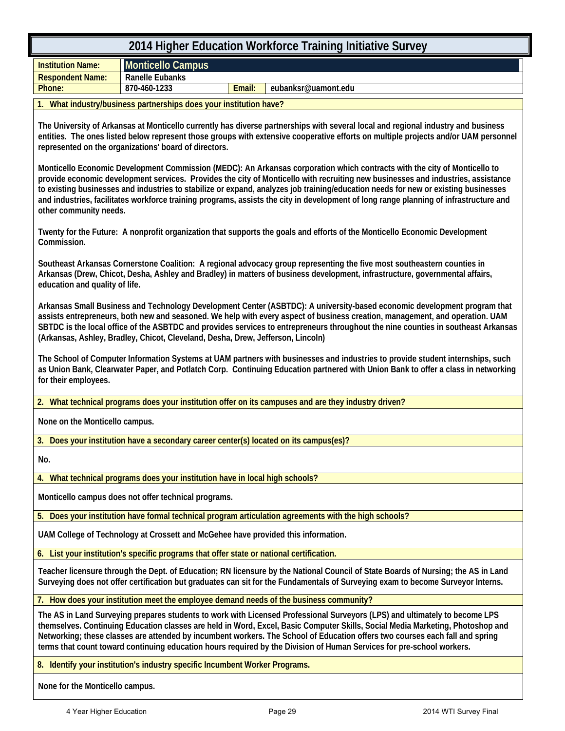| 2014 Higher Education Workforce Training Initiative Survey                                                                                                                                                                                                                                                                                                                                                                                                                                                                                                             |  |  |  |  |  |  |  |
|------------------------------------------------------------------------------------------------------------------------------------------------------------------------------------------------------------------------------------------------------------------------------------------------------------------------------------------------------------------------------------------------------------------------------------------------------------------------------------------------------------------------------------------------------------------------|--|--|--|--|--|--|--|
| <b>Monticello Campus</b><br><b>Institution Name:</b>                                                                                                                                                                                                                                                                                                                                                                                                                                                                                                                   |  |  |  |  |  |  |  |
| <b>Ranelle Eubanks</b><br><b>Respondent Name:</b><br>870-460-1233                                                                                                                                                                                                                                                                                                                                                                                                                                                                                                      |  |  |  |  |  |  |  |
| Email:<br>Phone:<br>eubanksr@uamont.edu                                                                                                                                                                                                                                                                                                                                                                                                                                                                                                                                |  |  |  |  |  |  |  |
| What industry/business partnerships does your institution have?                                                                                                                                                                                                                                                                                                                                                                                                                                                                                                        |  |  |  |  |  |  |  |
| The University of Arkansas at Monticello currently has diverse partnerships with several local and regional industry and business<br>entities. The ones listed below represent those groups with extensive cooperative efforts on multiple projects and/or UAM personnel<br>represented on the organizations' board of directors.                                                                                                                                                                                                                                      |  |  |  |  |  |  |  |
| Monticello Economic Development Commission (MEDC): An Arkansas corporation which contracts with the city of Monticello to<br>provide economic development services. Provides the city of Monticello with recruiting new businesses and industries, assistance<br>to existing businesses and industries to stabilize or expand, analyzes job training/education needs for new or existing businesses<br>and industries, facilitates workforce training programs, assists the city in development of long range planning of infrastructure and<br>other community needs. |  |  |  |  |  |  |  |
| Twenty for the Future: A nonprofit organization that supports the goals and efforts of the Monticello Economic Development<br>Commission.                                                                                                                                                                                                                                                                                                                                                                                                                              |  |  |  |  |  |  |  |
| Southeast Arkansas Cornerstone Coalition: A regional advocacy group representing the five most southeastern counties in<br>Arkansas (Drew, Chicot, Desha, Ashley and Bradley) in matters of business development, infrastructure, governmental affairs,<br>education and quality of life.                                                                                                                                                                                                                                                                              |  |  |  |  |  |  |  |
| Arkansas Small Business and Technology Development Center (ASBTDC): A university-based economic development program that<br>assists entrepreneurs, both new and seasoned. We help with every aspect of business creation, management, and operation. UAM<br>SBTDC is the local office of the ASBTDC and provides services to entrepreneurs throughout the nine counties in southeast Arkansas<br>(Arkansas, Ashley, Bradley, Chicot, Cleveland, Desha, Drew, Jefferson, Lincoln)                                                                                       |  |  |  |  |  |  |  |
| The School of Computer Information Systems at UAM partners with businesses and industries to provide student internships, such<br>as Union Bank, Clearwater Paper, and Potlatch Corp. Continuing Education partnered with Union Bank to offer a class in networking<br>for their employees.                                                                                                                                                                                                                                                                            |  |  |  |  |  |  |  |
| 2. What technical programs does your institution offer on its campuses and are they industry driven?                                                                                                                                                                                                                                                                                                                                                                                                                                                                   |  |  |  |  |  |  |  |
| None on the Monticello campus.                                                                                                                                                                                                                                                                                                                                                                                                                                                                                                                                         |  |  |  |  |  |  |  |
| 3. Does your institution have a secondary career center(s) located on its campus(es)?                                                                                                                                                                                                                                                                                                                                                                                                                                                                                  |  |  |  |  |  |  |  |
| No.                                                                                                                                                                                                                                                                                                                                                                                                                                                                                                                                                                    |  |  |  |  |  |  |  |
| What technical programs does your institution have in local high schools?<br>4.                                                                                                                                                                                                                                                                                                                                                                                                                                                                                        |  |  |  |  |  |  |  |
| Monticello campus does not offer technical programs.                                                                                                                                                                                                                                                                                                                                                                                                                                                                                                                   |  |  |  |  |  |  |  |
| 5. Does your institution have formal technical program articulation agreements with the high schools?                                                                                                                                                                                                                                                                                                                                                                                                                                                                  |  |  |  |  |  |  |  |
| UAM College of Technology at Crossett and McGehee have provided this information.                                                                                                                                                                                                                                                                                                                                                                                                                                                                                      |  |  |  |  |  |  |  |
| List your institution's specific programs that offer state or national certification.<br>6.                                                                                                                                                                                                                                                                                                                                                                                                                                                                            |  |  |  |  |  |  |  |
| Teacher licensure through the Dept. of Education; RN licensure by the National Council of State Boards of Nursing; the AS in Land<br>Surveying does not offer certification but graduates can sit for the Fundamentals of Surveying exam to become Surveyor Interns.                                                                                                                                                                                                                                                                                                   |  |  |  |  |  |  |  |
| 7. How does your institution meet the employee demand needs of the business community?                                                                                                                                                                                                                                                                                                                                                                                                                                                                                 |  |  |  |  |  |  |  |
| The AS in Land Surveying prepares students to work with Licensed Professional Surveyors (LPS) and ultimately to become LPS<br>themselves. Continuing Education classes are held in Word, Excel, Basic Computer Skills, Social Media Marketing, Photoshop and<br>Networking; these classes are attended by incumbent workers. The School of Education offers two courses each fall and spring<br>terms that count toward continuing education hours required by the Division of Human Services for pre-school workers.                                                  |  |  |  |  |  |  |  |
| 8. Identify your institution's industry specific Incumbent Worker Programs.                                                                                                                                                                                                                                                                                                                                                                                                                                                                                            |  |  |  |  |  |  |  |
| None for the Monticello campus.                                                                                                                                                                                                                                                                                                                                                                                                                                                                                                                                        |  |  |  |  |  |  |  |

4 Year Higher Education **Page 29** Page 29 2014 WTI Survey Final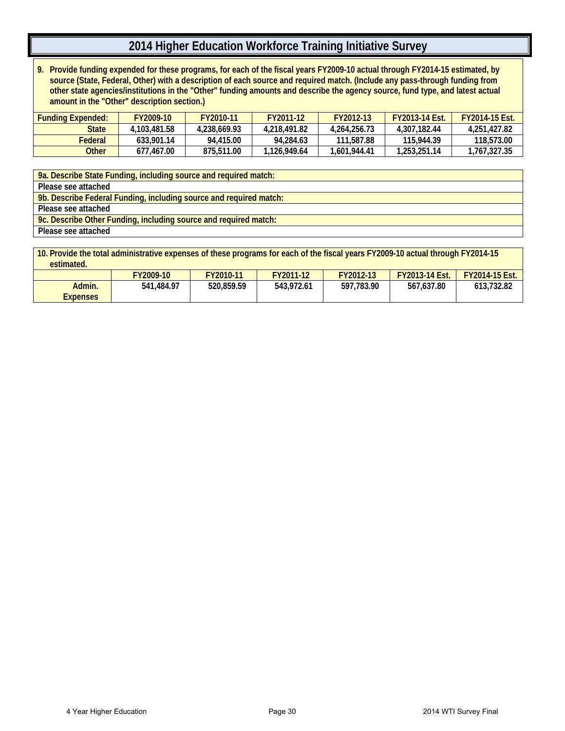**9. Provide funding expended for these programs, for each of the fiscal years FY2009-10 actual through FY2014-15 estimated, by source (State, Federal, Other) with a description of each source and required match. (Include any pass-through funding from other state agencies/institutions in the "Other" funding amounts and describe the agency source, fund type, and latest actual amount in the "Other" description section.)**

| Funding Expended: | FY2009-10    | FY2010-11    | FY2011-12    | FY2012-13    | <b>FY2013-14 Fst.</b> | <b>FY2014-15 Fst.</b> |
|-------------------|--------------|--------------|--------------|--------------|-----------------------|-----------------------|
| <b>State</b>      | 4.103.481.58 | 4.238.669.93 | 4.218.491.82 | 4.264.256.73 | 4.307.182.44          | 4.251.427.82          |
| Federal           | 633.901.14   | 94.415.00    | 94.284.63    | 111.587.88   | 115.944.39            | 118,573.00            |
| Other             | 677.467.00   | 875,511.00   | 1.126.949.64 | 1.601.944.41 | 1,253,251.14          | 1,767,327.35          |

**9a. Describe State Funding, including source and required match: Please see attached 9b. Describe Federal Funding, including source and required match: Please see attached 9c. Describe Other Funding, including source and required match: Please see attached**

| 10. Provide the total administrative expenses of these programs for each of the fiscal years FY2009-10 actual through FY2014-15<br>estimated. |            |                                                                                       |            |            |            |            |  |  |  |  |
|-----------------------------------------------------------------------------------------------------------------------------------------------|------------|---------------------------------------------------------------------------------------|------------|------------|------------|------------|--|--|--|--|
|                                                                                                                                               | FY2009-10  | FY2011-12<br>FY2012-13<br><b>FY2013-14 Est.</b><br>FY2010-11<br><b>FY2014-15 Est.</b> |            |            |            |            |  |  |  |  |
| Admin.<br><b>Expenses</b>                                                                                                                     | 541.484.97 | 520.859.59                                                                            | 543,972.61 | 597.783.90 | 567.637.80 | 613.732.82 |  |  |  |  |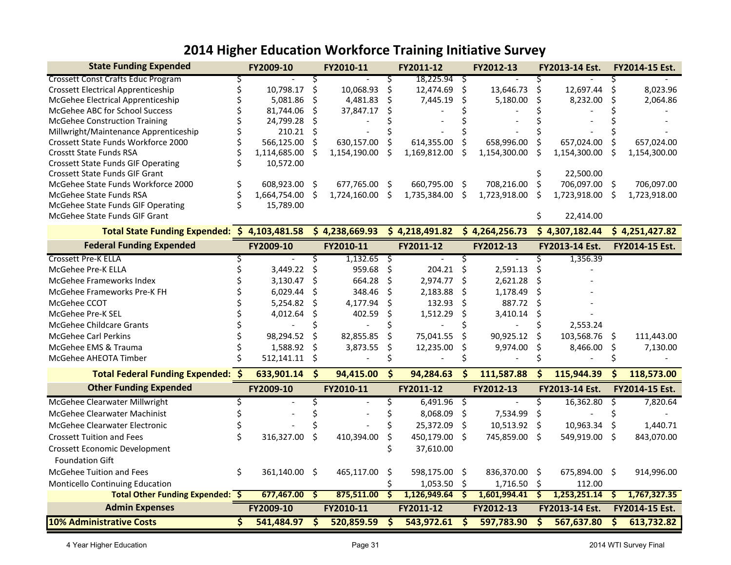| <b>State Funding Expended</b>                |    | FY2009-10       |         | FY2010-11      |                         | FY2011-12      |                                 | FY2012-13      |                         | FY2013-14 Est. |                         | FY2014-15 Est. |
|----------------------------------------------|----|-----------------|---------|----------------|-------------------------|----------------|---------------------------------|----------------|-------------------------|----------------|-------------------------|----------------|
| <b>Crossett Const Crafts Educ Program</b>    |    |                 | S       |                | S                       | 18,225.94      | S                               |                |                         |                |                         |                |
| <b>Crossett Electrical Apprenticeship</b>    |    | 10,798.17       | \$      | 10,068.93      | \$                      | 12,474.69      | \$                              | 13,646.73      | \$                      | 12,697.44      | ς                       | 8,023.96       |
| McGehee Electrical Apprenticeship            |    | 5,081.86        | Ŝ.      | 4,481.83       | Ŝ                       | 7,445.19       | S                               | 5,180.00       | Ś                       | 8,232.00       | Ś                       | 2,064.86       |
| McGehee ABC for School Success               |    | 81,744.06       | Ś.      | 37,847.17      |                         |                |                                 |                |                         |                |                         |                |
| <b>McGehee Construction Training</b>         |    | 24,799.28       | Ś       |                |                         |                |                                 |                |                         |                |                         |                |
| Millwright/Maintenance Apprenticeship        |    | $210.21$ \$     |         |                |                         |                |                                 |                |                         |                |                         |                |
| Crossett State Funds Workforce 2000          |    | 566,125.00      | \$      | 630,157.00     |                         | 614,355.00     |                                 | 658,996.00     |                         | 657,024.00     |                         | 657,024.00     |
| <b>Crosstt State Funds RSA</b>               |    | 1,114,685.00    | -Ś      | 1,154,190.00   |                         | 1,169,812.00   | S                               | 1,154,300.00   | Ś                       | 1,154,300.00   | Ś                       | 1,154,300.00   |
| <b>Crossett State Funds GIF Operating</b>    |    | 10,572.00       |         |                |                         |                |                                 |                |                         |                |                         |                |
| <b>Crossett State Funds GIF Grant</b>        |    |                 |         |                |                         |                |                                 |                |                         | 22,500.00      |                         |                |
| McGehee State Funds Workforce 2000           | \$ | 608,923.00 \$   |         | 677,765.00 \$  |                         | 660,795.00     | -S                              | 708,216.00     | \$.                     | 706,097.00 \$  |                         | 706,097.00     |
| McGehee State Funds RSA                      | Ś  | 1,664,754.00 \$ |         | 1,724,160.00   | Ś                       | 1,735,384.00   | \$                              | 1,723,918.00   | Ś                       | 1,723,918.00   | \$                      | 1,723,918.00   |
| McGehee State Funds GIF Operating            |    | 15,789.00       |         |                |                         |                |                                 |                |                         |                |                         |                |
| McGehee State Funds GIF Grant                |    |                 |         |                |                         |                |                                 |                | \$                      | 22,414.00      |                         |                |
| Total State Funding Expended: \$4,103,481.58 |    |                 |         | \$4,238,669.93 |                         | \$4,218,491.82 |                                 | \$4,264,256.73 |                         | \$4,307,182.44 |                         | \$4,251,427.82 |
| <b>Federal Funding Expended</b>              |    | FY2009-10       |         | FY2010-11      |                         | FY2011-12      |                                 | FY2012-13      |                         | FY2013-14 Est. |                         | FY2014-15 Est. |
| <b>Crossett Pre-K ELLA</b>                   |    |                 | 3       | 1,132.65       | ऽ                       |                |                                 |                | Ś                       | 1,356.39       |                         |                |
| McGehee Pre-K ELLA                           |    | 3,449.22        | \$      | 959.68         | \$                      | 204.21         | \$                              | 2,591.13       | Ś                       |                |                         |                |
| McGehee Frameworks Index                     |    | 3,130.47        | $\zeta$ | 664.28         | \$                      | 2,974.77       | \$                              | 2,621.28       | ς                       |                |                         |                |
| McGehee Frameworks Pre-K FH                  |    | 6,029.44        | \$      | 348.46         | Ś                       | 2,183.88       | \$                              | 1,178.49       | Ś                       |                |                         |                |
| McGehee CCOT                                 |    | 5,254.82        | \$      | 4,177.94       | \$                      | 132.93         | Ś.                              | 887.72         | Ś                       |                |                         |                |
| McGehee Pre-K SEL                            |    | 4,012.64        | \$      | 402.59         | Ś                       | 1,512.29       | \$                              | 3,410.14       | \$                      |                |                         |                |
| <b>McGehee Childcare Grants</b>              |    |                 |         |                |                         |                |                                 |                |                         | 2,553.24       |                         |                |
| <b>McGehee Carl Perkins</b>                  |    | 98,294.52       | \$      | 82,855.85      | \$                      | 75,041.55      | \$                              | 90,925.12      | Ś                       | 103,568.76     | -\$                     | 111,443.00     |
| McGehee EMS & Trauma                         |    | 1,588.92        | $\zeta$ | 3,873.55       | \$                      | 12,235.00      | Ś                               | 9,974.00       | \$                      | 8,466.00       | \$                      | 7,130.00       |
| McGehee AHEOTA Timber                        |    | 512,141.11      | -\$     |                |                         |                |                                 |                |                         |                |                         |                |
| <b>Total Federal Funding Expended: \$</b>    |    | 633,901.14      | \$      | 94,415.00      | \$                      | 94,284.63      | \$                              | 111,587.88     | \$.                     | 115,944.39     | \$                      | 118,573.00     |
| <b>Other Funding Expended</b>                |    | FY2009-10       |         | FY2010-11      |                         | FY2011-12      |                                 | FY2012-13      |                         | FY2013-14 Est. |                         | FY2014-15 Est. |
| McGehee Clearwater Millwright                | Ś  |                 | Ś       |                | \$                      | 6,491.96       | \$                              |                | \$                      | 16,362.80      | \$                      | 7,820.64       |
| McGehee Clearwater Machinist                 |    |                 |         |                |                         | 8,068.09       | \$                              | 7,534.99       | \$                      |                |                         |                |
| McGehee Clearwater Electronic                |    |                 |         |                |                         | 25,372.09      | \$                              | 10,513.92      | -Ś                      | 10,963.34      | Ŝ.                      | 1,440.71       |
| <b>Crossett Tuition and Fees</b>             | \$ | 316,327.00      | Ŝ.      | 410,394.00     |                         | 450,179.00     | \$                              | 745,859.00     | Ŝ.                      | 549,919.00     | -Ś                      | 843,070.00     |
| Crossett Economic Development                |    |                 |         |                |                         | 37,610.00      |                                 |                |                         |                |                         |                |
| <b>Foundation Gift</b>                       |    |                 |         |                |                         |                |                                 |                |                         |                |                         |                |
| McGehee Tuition and Fees                     | \$ | 361,140.00 \$   |         | 465,117.00     | Ŝ.                      | 598,175.00     | \$                              | 836,370.00     | -\$                     | 675,894.00 \$  |                         | 914,996.00     |
| Monticello Continuing Education              |    |                 |         |                |                         | 1,053.50       | \$                              | 1,716.50       | $\zeta$                 | 112.00         |                         |                |
| Total Other Funding Expended: \$             |    | 677,467.00      | ॱ\$     | 875,511.00     | Ś                       | 1,126,949.64   | \$                              | 1,601,994.41   | \$                      | 1,253,251.14   | \$.                     | 1,767,327.35   |
| <b>Admin Expenses</b>                        |    | FY2009-10       |         | FY2010-11      |                         | FY2011-12      |                                 | FY2012-13      |                         | FY2013-14 Est. |                         | FY2014-15 Est. |
| <b>10% Administrative Costs</b>              | \$ | $541,484.97$ \$ |         | 520,859.59     | $\overline{\mathsf{s}}$ | 543,972.61     | $\overline{\boldsymbol{\zeta}}$ | 597,783.90     | $\overline{\mathbf{v}}$ | 567,637.80     | $\overline{\mathsf{s}}$ | 613,732.82     |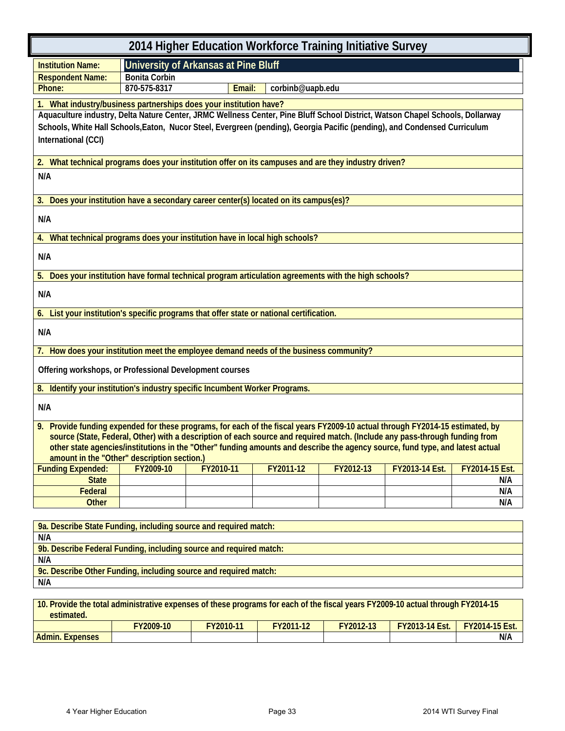| 2014 Higher Education Workforce Training Initiative Survey                                                                                                                                                                                                                                                                                                                                                                                   |                      |                                      |                  |           |                |                |  |  |  |
|----------------------------------------------------------------------------------------------------------------------------------------------------------------------------------------------------------------------------------------------------------------------------------------------------------------------------------------------------------------------------------------------------------------------------------------------|----------------------|--------------------------------------|------------------|-----------|----------------|----------------|--|--|--|
| <b>Institution Name:</b>                                                                                                                                                                                                                                                                                                                                                                                                                     |                      | University of Arkansas at Pine Bluff |                  |           |                |                |  |  |  |
| <b>Respondent Name:</b>                                                                                                                                                                                                                                                                                                                                                                                                                      | <b>Bonita Corbin</b> |                                      |                  |           |                |                |  |  |  |
| Phone:                                                                                                                                                                                                                                                                                                                                                                                                                                       | 870-575-8317         | Email:                               | corbinb@uapb.edu |           |                |                |  |  |  |
| 1. What industry/business partnerships does your institution have?<br>Aquaculture industry, Delta Nature Center, JRMC Wellness Center, Pine Bluff School District, Watson Chapel Schools, Dollarway<br>Schools, White Hall Schools, Eaton, Nucor Steel, Evergreen (pending), Georgia Pacific (pending), and Condensed Curriculum<br>International (CCI)                                                                                      |                      |                                      |                  |           |                |                |  |  |  |
| 2. What technical programs does your institution offer on its campuses and are they industry driven?                                                                                                                                                                                                                                                                                                                                         |                      |                                      |                  |           |                |                |  |  |  |
| N/A                                                                                                                                                                                                                                                                                                                                                                                                                                          |                      |                                      |                  |           |                |                |  |  |  |
| 3. Does your institution have a secondary career center(s) located on its campus(es)?                                                                                                                                                                                                                                                                                                                                                        |                      |                                      |                  |           |                |                |  |  |  |
| N/A                                                                                                                                                                                                                                                                                                                                                                                                                                          |                      |                                      |                  |           |                |                |  |  |  |
| What technical programs does your institution have in local high schools?<br>4.                                                                                                                                                                                                                                                                                                                                                              |                      |                                      |                  |           |                |                |  |  |  |
| N/A                                                                                                                                                                                                                                                                                                                                                                                                                                          |                      |                                      |                  |           |                |                |  |  |  |
| 5. Does your institution have formal technical program articulation agreements with the high schools?                                                                                                                                                                                                                                                                                                                                        |                      |                                      |                  |           |                |                |  |  |  |
| N/A                                                                                                                                                                                                                                                                                                                                                                                                                                          |                      |                                      |                  |           |                |                |  |  |  |
| 6. List your institution's specific programs that offer state or national certification.                                                                                                                                                                                                                                                                                                                                                     |                      |                                      |                  |           |                |                |  |  |  |
| N/A                                                                                                                                                                                                                                                                                                                                                                                                                                          |                      |                                      |                  |           |                |                |  |  |  |
| 7. How does your institution meet the employee demand needs of the business community?                                                                                                                                                                                                                                                                                                                                                       |                      |                                      |                  |           |                |                |  |  |  |
| Offering workshops, or Professional Development courses                                                                                                                                                                                                                                                                                                                                                                                      |                      |                                      |                  |           |                |                |  |  |  |
| 8. Identify your institution's industry specific Incumbent Worker Programs.                                                                                                                                                                                                                                                                                                                                                                  |                      |                                      |                  |           |                |                |  |  |  |
| N/A                                                                                                                                                                                                                                                                                                                                                                                                                                          |                      |                                      |                  |           |                |                |  |  |  |
| 9. Provide funding expended for these programs, for each of the fiscal years FY2009-10 actual through FY2014-15 estimated, by<br>source (State, Federal, Other) with a description of each source and required match. (Include any pass-through funding from<br>other state agencies/institutions in the "Other" funding amounts and describe the agency source, fund type, and latest actual<br>amount in the "Other" description section.) |                      |                                      |                  |           |                |                |  |  |  |
| <b>Funding Expended:</b>                                                                                                                                                                                                                                                                                                                                                                                                                     | FY2009-10            | FY2010-11                            | FY2011-12        | FY2012-13 | FY2013-14 Est. | FY2014-15 Est. |  |  |  |
| <b>State</b>                                                                                                                                                                                                                                                                                                                                                                                                                                 |                      |                                      |                  |           |                | N/A            |  |  |  |
| Federal                                                                                                                                                                                                                                                                                                                                                                                                                                      |                      |                                      |                  |           |                | N/A            |  |  |  |
| <b>Other</b>                                                                                                                                                                                                                                                                                                                                                                                                                                 |                      |                                      |                  |           |                | N/A            |  |  |  |
| 9a. Describe State Funding, including source and required match:<br>N/A                                                                                                                                                                                                                                                                                                                                                                      |                      |                                      |                  |           |                |                |  |  |  |
| 9b. Describe Federal Funding, including source and required match:                                                                                                                                                                                                                                                                                                                                                                           |                      |                                      |                  |           |                |                |  |  |  |
| N/A                                                                                                                                                                                                                                                                                                                                                                                                                                          |                      |                                      |                  |           |                |                |  |  |  |
| 9c. Describe Other Funding, including source and required match:                                                                                                                                                                                                                                                                                                                                                                             |                      |                                      |                  |           |                |                |  |  |  |
| N/A                                                                                                                                                                                                                                                                                                                                                                                                                                          |                      |                                      |                  |           |                |                |  |  |  |

| 10. Provide the total administrative expenses of these programs for each of the fiscal years FY2009-10 actual through FY2014-15 |           |           |           |           |                       |                       |  |  |
|---------------------------------------------------------------------------------------------------------------------------------|-----------|-----------|-----------|-----------|-----------------------|-----------------------|--|--|
| estimated.                                                                                                                      |           |           |           |           |                       |                       |  |  |
|                                                                                                                                 | FY2009-10 | FY2010-11 | FY2011-12 | FY2012-13 | <b>FY2013-14 Est.</b> | <b>FY2014-15 Est.</b> |  |  |
| <b>Admin. Expenses</b>                                                                                                          |           |           |           |           |                       | N/A                   |  |  |